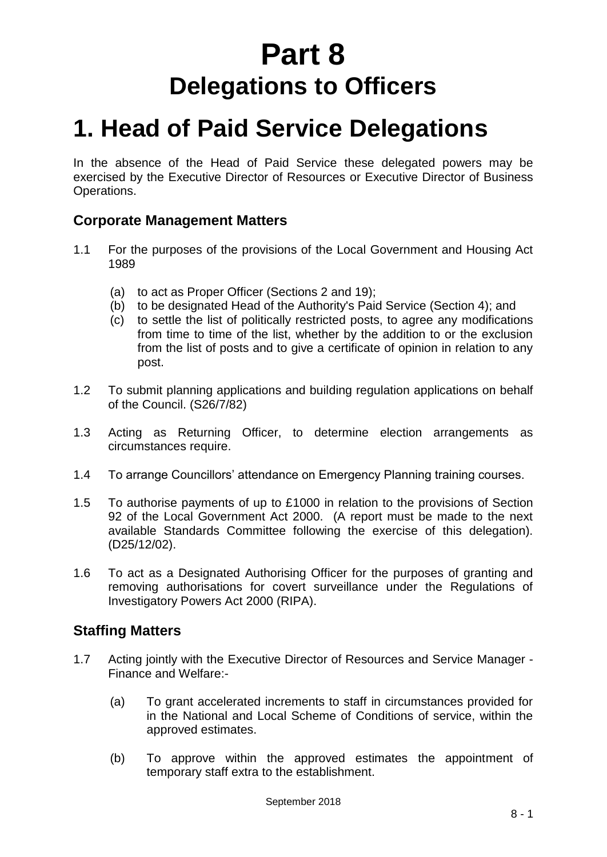# **Part 8 Delegations to Officers**

# **1. Head of Paid Service Delegations**

In the absence of the Head of Paid Service these delegated powers may be exercised by the Executive Director of Resources or Executive Director of Business Operations.

## **Corporate Management Matters**

- 1.1 For the purposes of the provisions of the Local Government and Housing Act 1989
	- (a) to act as Proper Officer (Sections 2 and 19);
	- (b) to be designated Head of the Authority's Paid Service (Section 4); and
	- (c) to settle the list of politically restricted posts, to agree any modifications from time to time of the list, whether by the addition to or the exclusion from the list of posts and to give a certificate of opinion in relation to any post.
- 1.2 To submit planning applications and building regulation applications on behalf of the Council. (S26/7/82)
- 1.3 Acting as Returning Officer, to determine election arrangements as circumstances require.
- 1.4 To arrange Councillors' attendance on Emergency Planning training courses.
- 1.5 To authorise payments of up to £1000 in relation to the provisions of Section 92 of the Local Government Act 2000. (A report must be made to the next available Standards Committee following the exercise of this delegation). (D25/12/02).
- 1.6 To act as a Designated Authorising Officer for the purposes of granting and removing authorisations for covert surveillance under the Regulations of Investigatory Powers Act 2000 (RIPA).

## **Staffing Matters**

- 1.7 Acting jointly with the Executive Director of Resources and Service Manager Finance and Welfare:-
	- (a) To grant accelerated increments to staff in circumstances provided for in the National and Local Scheme of Conditions of service, within the approved estimates.
	- (b) To approve within the approved estimates the appointment of temporary staff extra to the establishment.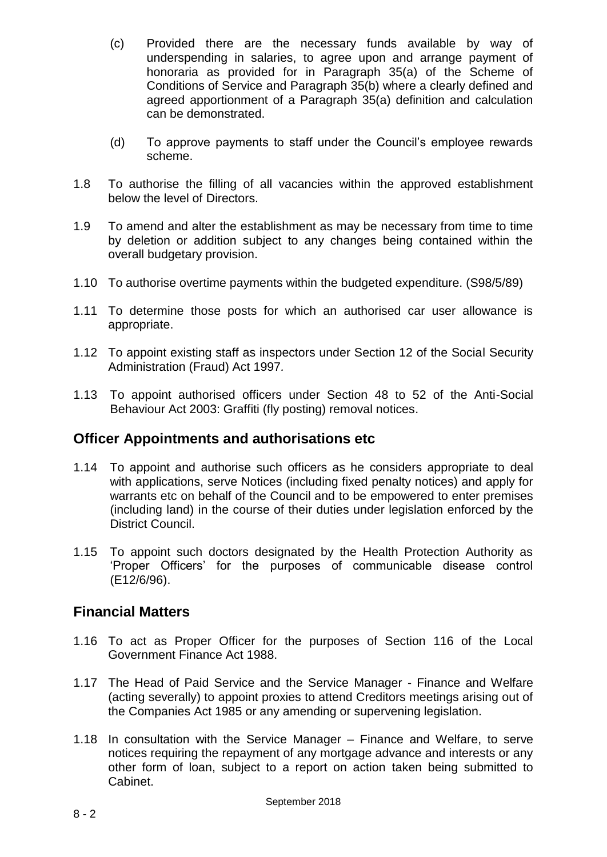- (c) Provided there are the necessary funds available by way of underspending in salaries, to agree upon and arrange payment of honoraria as provided for in Paragraph 35(a) of the Scheme of Conditions of Service and Paragraph 35(b) where a clearly defined and agreed apportionment of a Paragraph 35(a) definition and calculation can be demonstrated.
- (d) To approve payments to staff under the Council's employee rewards scheme.
- 1.8 To authorise the filling of all vacancies within the approved establishment below the level of Directors.
- 1.9 To amend and alter the establishment as may be necessary from time to time by deletion or addition subject to any changes being contained within the overall budgetary provision.
- 1.10 To authorise overtime payments within the budgeted expenditure. (S98/5/89)
- 1.11 To determine those posts for which an authorised car user allowance is appropriate.
- 1.12 To appoint existing staff as inspectors under Section 12 of the Social Security Administration (Fraud) Act 1997*.*
- 1.13 To appoint authorised officers under Section 48 to 52 of the Anti-Social Behaviour Act 2003: Graffiti (fly posting) removal notices.

#### **Officer Appointments and authorisations etc**

- 1.14 To appoint and authorise such officers as he considers appropriate to deal with applications, serve Notices (including fixed penalty notices) and apply for warrants etc on behalf of the Council and to be empowered to enter premises (including land) in the course of their duties under legislation enforced by the District Council.
- 1.15 To appoint such doctors designated by the Health Protection Authority as 'Proper Officers' for the purposes of communicable disease control (E12/6/96).

### **Financial Matters**

- 1.16 To act as Proper Officer for the purposes of Section 116 of the Local Government Finance Act 1988.
- 1.17 The Head of Paid Service and the Service Manager Finance and Welfare (acting severally) to appoint proxies to attend Creditors meetings arising out of the Companies Act 1985 or any amending or supervening legislation.
- 1.18 In consultation with the Service Manager Finance and Welfare, to serve notices requiring the repayment of any mortgage advance and interests or any other form of loan, subject to a report on action taken being submitted to Cabinet.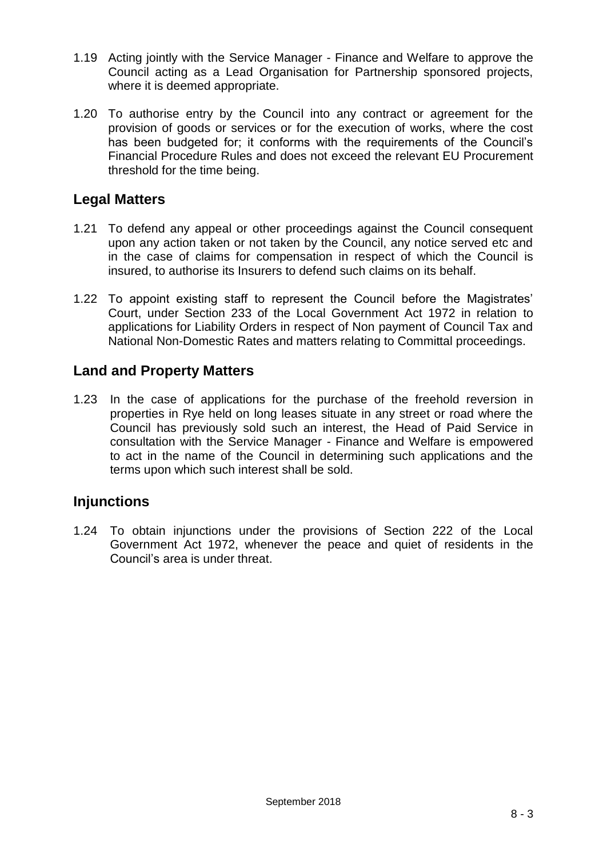- 1.19 Acting jointly with the Service Manager Finance and Welfare to approve the Council acting as a Lead Organisation for Partnership sponsored projects, where it is deemed appropriate.
- 1.20 To authorise entry by the Council into any contract or agreement for the provision of goods or services or for the execution of works, where the cost has been budgeted for; it conforms with the requirements of the Council's Financial Procedure Rules and does not exceed the relevant EU Procurement threshold for the time being.

## **Legal Matters**

- 1.21 To defend any appeal or other proceedings against the Council consequent upon any action taken or not taken by the Council, any notice served etc and in the case of claims for compensation in respect of which the Council is insured, to authorise its Insurers to defend such claims on its behalf.
- 1.22 To appoint existing staff to represent the Council before the Magistrates' Court, under Section 233 of the Local Government Act 1972 in relation to applications for Liability Orders in respect of Non payment of Council Tax and National Non-Domestic Rates and matters relating to Committal proceedings.

## **Land and Property Matters**

1.23 In the case of applications for the purchase of the freehold reversion in properties in Rye held on long leases situate in any street or road where the Council has previously sold such an interest, the Head of Paid Service in consultation with the Service Manager - Finance and Welfare is empowered to act in the name of the Council in determining such applications and the terms upon which such interest shall be sold.

### **Injunctions**

1.24 To obtain injunctions under the provisions of Section 222 of the Local Government Act 1972, whenever the peace and quiet of residents in the Council's area is under threat.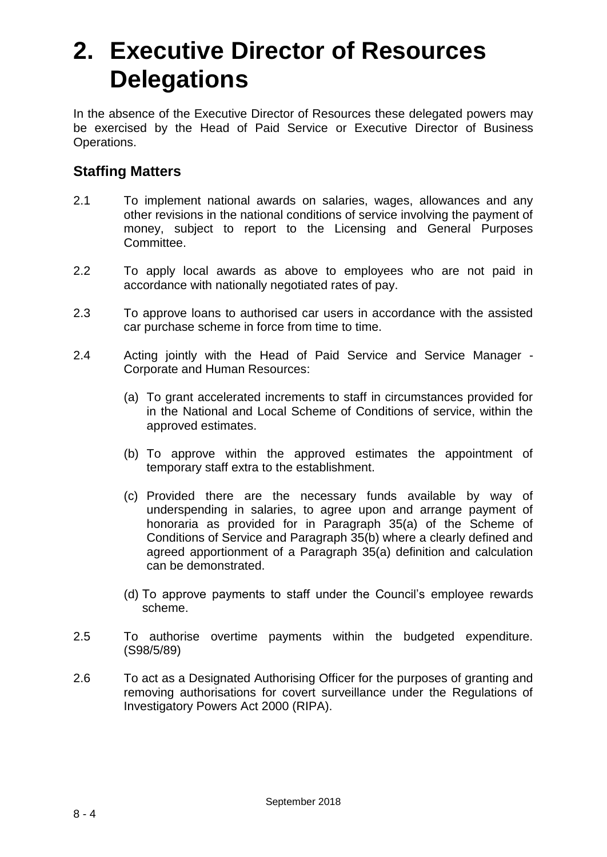# **2. Executive Director of Resources Delegations**

In the absence of the Executive Director of Resources these delegated powers may be exercised by the Head of Paid Service or Executive Director of Business Operations.

## **Staffing Matters**

- 2.1 To implement national awards on salaries, wages, allowances and any other revisions in the national conditions of service involving the payment of money, subject to report to the Licensing and General Purposes Committee.
- 2.2 To apply local awards as above to employees who are not paid in accordance with nationally negotiated rates of pay.
- 2.3 To approve loans to authorised car users in accordance with the assisted car purchase scheme in force from time to time.
- 2.4 Acting jointly with the Head of Paid Service and Service Manager Corporate and Human Resources:
	- (a) To grant accelerated increments to staff in circumstances provided for in the National and Local Scheme of Conditions of service, within the approved estimates.
	- (b) To approve within the approved estimates the appointment of temporary staff extra to the establishment.
	- (c) Provided there are the necessary funds available by way of underspending in salaries, to agree upon and arrange payment of honoraria as provided for in Paragraph 35(a) of the Scheme of Conditions of Service and Paragraph 35(b) where a clearly defined and agreed apportionment of a Paragraph 35(a) definition and calculation can be demonstrated.
	- (d) To approve payments to staff under the Council's employee rewards scheme.
- 2.5 To authorise overtime payments within the budgeted expenditure. (S98/5/89)
- 2.6 To act as a Designated Authorising Officer for the purposes of granting and removing authorisations for covert surveillance under the Regulations of Investigatory Powers Act 2000 (RIPA).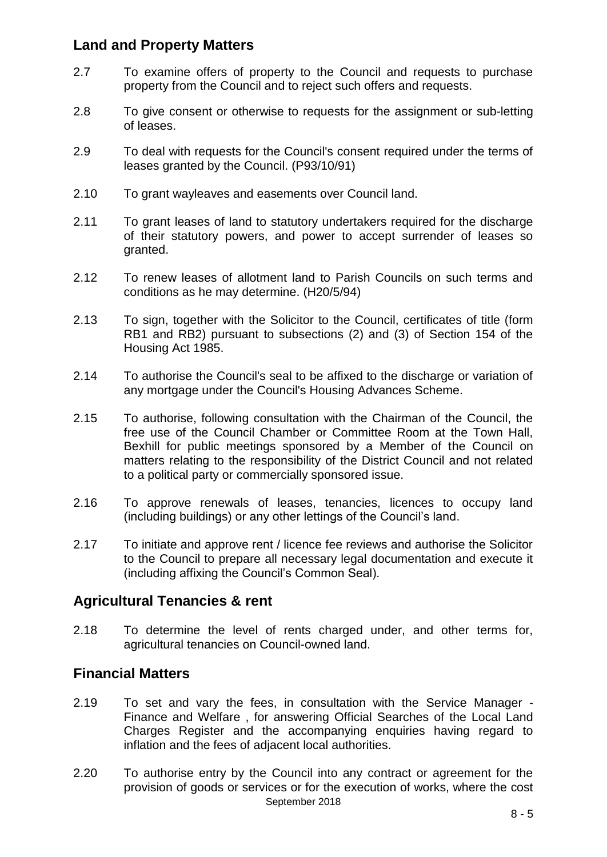## **Land and Property Matters**

- 2.7 To examine offers of property to the Council and requests to purchase property from the Council and to reject such offers and requests.
- 2.8 To give consent or otherwise to requests for the assignment or sub-letting of leases.
- 2.9 To deal with requests for the Council's consent required under the terms of leases granted by the Council. (P93/10/91)
- 2.10 To grant wayleaves and easements over Council land.
- 2.11 To grant leases of land to statutory undertakers required for the discharge of their statutory powers, and power to accept surrender of leases so granted.
- 2.12 To renew leases of allotment land to Parish Councils on such terms and conditions as he may determine. (H20/5/94)
- 2.13 To sign, together with the Solicitor to the Council, certificates of title (form RB1 and RB2) pursuant to subsections (2) and (3) of Section 154 of the Housing Act 1985.
- 2.14 To authorise the Council's seal to be affixed to the discharge or variation of any mortgage under the Council's Housing Advances Scheme.
- 2.15 To authorise, following consultation with the Chairman of the Council, the free use of the Council Chamber or Committee Room at the Town Hall, Bexhill for public meetings sponsored by a Member of the Council on matters relating to the responsibility of the District Council and not related to a political party or commercially sponsored issue.
- 2.16 To approve renewals of leases, tenancies, licences to occupy land (including buildings) or any other lettings of the Council's land.
- 2.17 To initiate and approve rent / licence fee reviews and authorise the Solicitor to the Council to prepare all necessary legal documentation and execute it (including affixing the Council's Common Seal).

### **Agricultural Tenancies & rent**

2.18 To determine the level of rents charged under, and other terms for, agricultural tenancies on Council-owned land.

### **Financial Matters**

- 2.19 To set and vary the fees, in consultation with the Service Manager Finance and Welfare , for answering Official Searches of the Local Land Charges Register and the accompanying enquiries having regard to inflation and the fees of adjacent local authorities.
- September 2018 2.20 To authorise entry by the Council into any contract or agreement for the provision of goods or services or for the execution of works, where the cost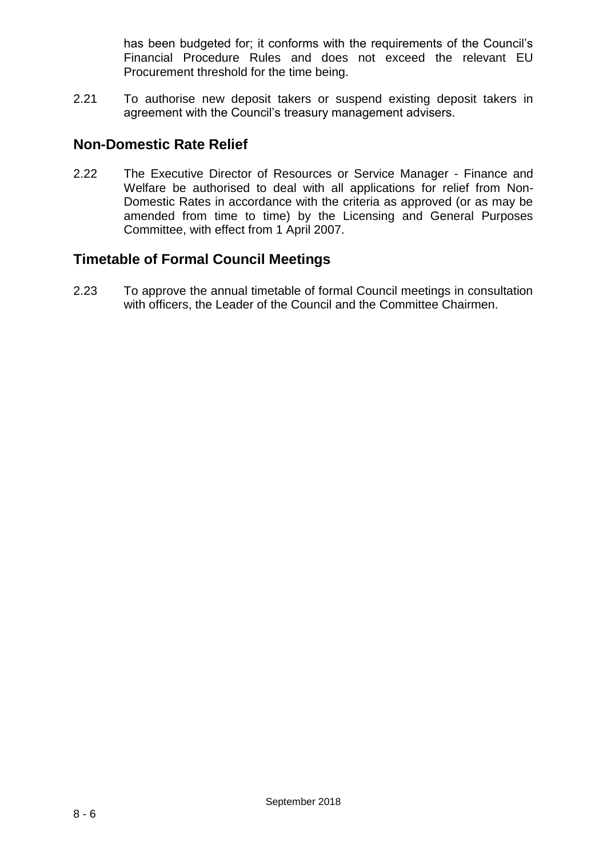has been budgeted for; it conforms with the requirements of the Council's Financial Procedure Rules and does not exceed the relevant EU Procurement threshold for the time being.

2.21 To authorise new deposit takers or suspend existing deposit takers in agreement with the Council's treasury management advisers.

## **Non-Domestic Rate Relief**

2.22 The Executive Director of Resources or Service Manager - Finance and Welfare be authorised to deal with all applications for relief from Non-Domestic Rates in accordance with the criteria as approved (or as may be amended from time to time) by the Licensing and General Purposes Committee, with effect from 1 April 2007.

## **Timetable of Formal Council Meetings**

2.23 To approve the annual timetable of formal Council meetings in consultation with officers, the Leader of the Council and the Committee Chairmen.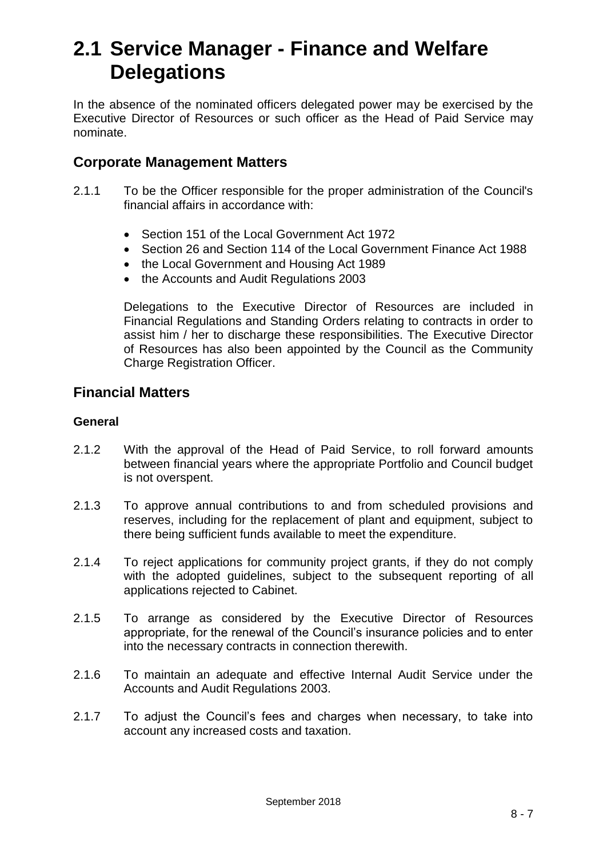## **2.1 Service Manager - Finance and Welfare Delegations**

In the absence of the nominated officers delegated power may be exercised by the Executive Director of Resources or such officer as the Head of Paid Service may nominate.

#### **Corporate Management Matters**

- 2.1.1 To be the Officer responsible for the proper administration of the Council's financial affairs in accordance with:
	- Section 151 of the Local Government Act 1972
	- Section 26 and Section 114 of the Local Government Finance Act 1988
	- the Local Government and Housing Act 1989
	- the Accounts and Audit Regulations 2003

Delegations to the Executive Director of Resources are included in Financial Regulations and Standing Orders relating to contracts in order to assist him / her to discharge these responsibilities. The Executive Director of Resources has also been appointed by the Council as the Community Charge Registration Officer.

#### **Financial Matters**

#### **General**

- 2.1.2 With the approval of the Head of Paid Service, to roll forward amounts between financial years where the appropriate Portfolio and Council budget is not overspent.
- 2.1.3 To approve annual contributions to and from scheduled provisions and reserves, including for the replacement of plant and equipment, subject to there being sufficient funds available to meet the expenditure.
- 2.1.4 To reject applications for community project grants, if they do not comply with the adopted guidelines, subject to the subsequent reporting of all applications rejected to Cabinet.
- 2.1.5 To arrange as considered by the Executive Director of Resources appropriate, for the renewal of the Council's insurance policies and to enter into the necessary contracts in connection therewith.
- 2.1.6 To maintain an adequate and effective Internal Audit Service under the Accounts and Audit Regulations 2003.
- 2.1.7 To adjust the Council's fees and charges when necessary, to take into account any increased costs and taxation.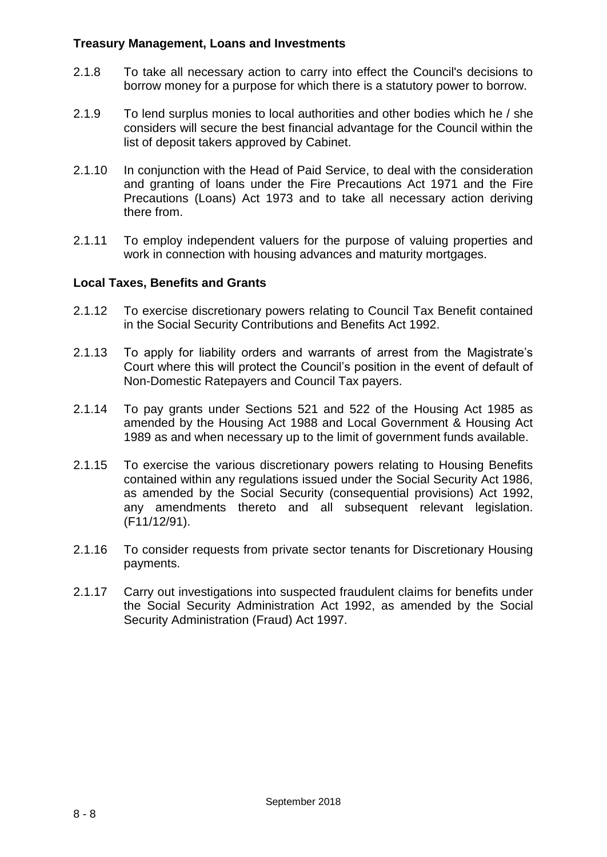#### **Treasury Management, Loans and Investments**

- 2.1.8 To take all necessary action to carry into effect the Council's decisions to borrow money for a purpose for which there is a statutory power to borrow.
- 2.1.9 To lend surplus monies to local authorities and other bodies which he / she considers will secure the best financial advantage for the Council within the list of deposit takers approved by Cabinet.
- 2.1.10 In conjunction with the Head of Paid Service, to deal with the consideration and granting of loans under the Fire Precautions Act 1971 and the Fire Precautions (Loans) Act 1973 and to take all necessary action deriving there from.
- 2.1.11 To employ independent valuers for the purpose of valuing properties and work in connection with housing advances and maturity mortgages.

#### **Local Taxes, Benefits and Grants**

- 2.1.12 To exercise discretionary powers relating to Council Tax Benefit contained in the Social Security Contributions and Benefits Act 1992.
- 2.1.13 To apply for liability orders and warrants of arrest from the Magistrate's Court where this will protect the Council's position in the event of default of Non-Domestic Ratepayers and Council Tax payers.
- 2.1.14 To pay grants under Sections 521 and 522 of the Housing Act 1985 as amended by the Housing Act 1988 and Local Government & Housing Act 1989 as and when necessary up to the limit of government funds available.
- 2.1.15 To exercise the various discretionary powers relating to Housing Benefits contained within any regulations issued under the Social Security Act 1986, as amended by the Social Security (consequential provisions) Act 1992, any amendments thereto and all subsequent relevant legislation. (F11/12/91).
- 2.1.16 To consider requests from private sector tenants for Discretionary Housing payments.
- 2.1.17 Carry out investigations into suspected fraudulent claims for benefits under the Social Security Administration Act 1992, as amended by the Social Security Administration (Fraud) Act 1997.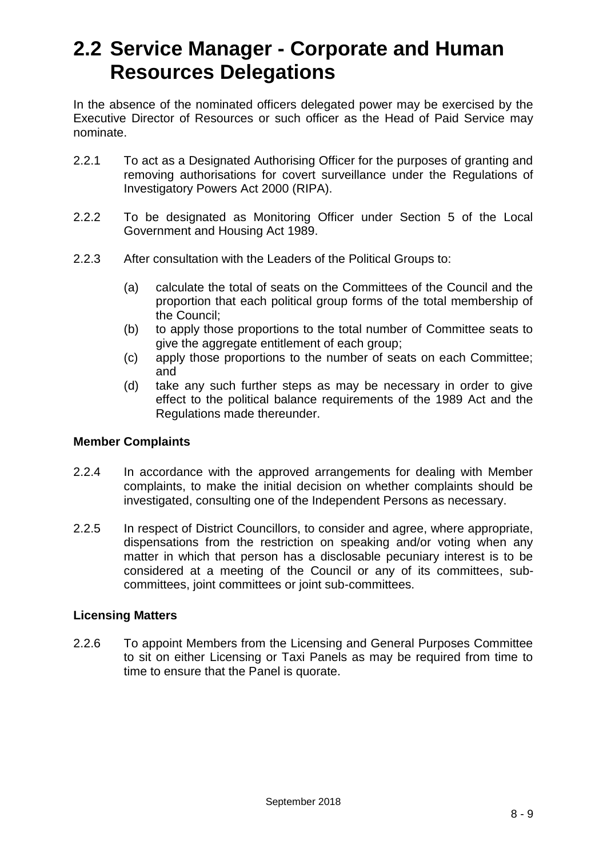## **2.2 Service Manager - Corporate and Human Resources Delegations**

In the absence of the nominated officers delegated power may be exercised by the Executive Director of Resources or such officer as the Head of Paid Service may nominate.

- 2.2.1 To act as a Designated Authorising Officer for the purposes of granting and removing authorisations for covert surveillance under the Regulations of Investigatory Powers Act 2000 (RIPA).
- 2.2.2 To be designated as Monitoring Officer under Section 5 of the Local Government and Housing Act 1989.
- 2.2.3 After consultation with the Leaders of the Political Groups to:
	- (a) calculate the total of seats on the Committees of the Council and the proportion that each political group forms of the total membership of the Council;
	- (b) to apply those proportions to the total number of Committee seats to give the aggregate entitlement of each group;
	- (c) apply those proportions to the number of seats on each Committee; and
	- (d) take any such further steps as may be necessary in order to give effect to the political balance requirements of the 1989 Act and the Regulations made thereunder.

#### **Member Complaints**

- 2.2.4 In accordance with the approved arrangements for dealing with Member complaints, to make the initial decision on whether complaints should be investigated, consulting one of the Independent Persons as necessary.
- 2.2.5 In respect of District Councillors, to consider and agree, where appropriate, dispensations from the restriction on speaking and/or voting when any matter in which that person has a disclosable pecuniary interest is to be considered at a meeting of the Council or any of its committees, subcommittees, joint committees or joint sub-committees.

#### **Licensing Matters**

2.2.6 To appoint Members from the Licensing and General Purposes Committee to sit on either Licensing or Taxi Panels as may be required from time to time to ensure that the Panel is quorate.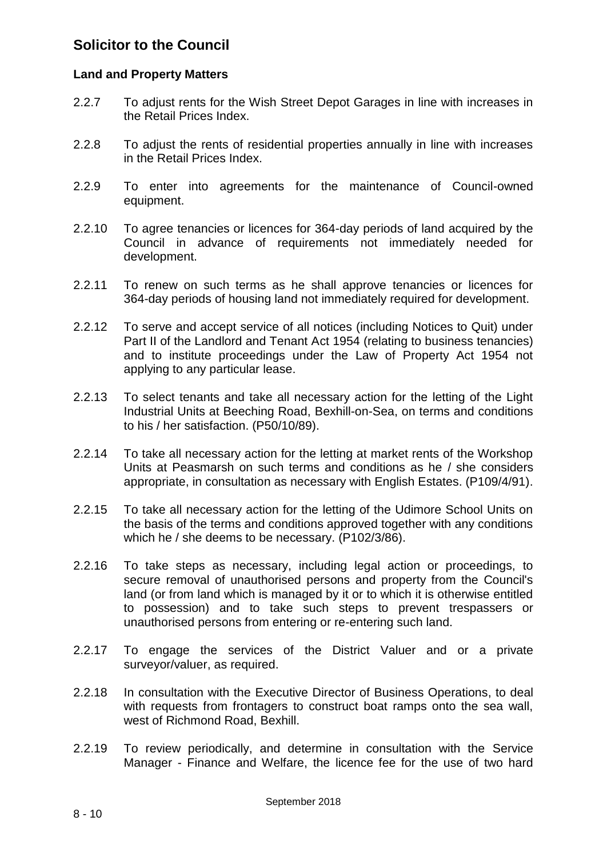## **Solicitor to the Council**

#### **Land and Property Matters**

- 2.2.7 To adjust rents for the Wish Street Depot Garages in line with increases in the Retail Prices Index.
- 2.2.8 To adjust the rents of residential properties annually in line with increases in the Retail Prices Index.
- 2.2.9 To enter into agreements for the maintenance of Council-owned equipment.
- 2.2.10 To agree tenancies or licences for 364-day periods of land acquired by the Council in advance of requirements not immediately needed for development.
- 2.2.11 To renew on such terms as he shall approve tenancies or licences for 364-day periods of housing land not immediately required for development.
- 2.2.12 To serve and accept service of all notices (including Notices to Quit) under Part II of the Landlord and Tenant Act 1954 (relating to business tenancies) and to institute proceedings under the Law of Property Act 1954 not applying to any particular lease.
- 2.2.13 To select tenants and take all necessary action for the letting of the Light Industrial Units at Beeching Road, Bexhill-on-Sea, on terms and conditions to his / her satisfaction. (P50/10/89).
- 2.2.14 To take all necessary action for the letting at market rents of the Workshop Units at Peasmarsh on such terms and conditions as he / she considers appropriate, in consultation as necessary with English Estates. (P109/4/91).
- 2.2.15 To take all necessary action for the letting of the Udimore School Units on the basis of the terms and conditions approved together with any conditions which he / she deems to be necessary. (P102/3/86).
- 2.2.16 To take steps as necessary, including legal action or proceedings, to secure removal of unauthorised persons and property from the Council's land (or from land which is managed by it or to which it is otherwise entitled to possession) and to take such steps to prevent trespassers or unauthorised persons from entering or re-entering such land.
- 2.2.17 To engage the services of the District Valuer and or a private surveyor/valuer, as required.
- 2.2.18 In consultation with the Executive Director of Business Operations, to deal with requests from frontagers to construct boat ramps onto the sea wall, west of Richmond Road, Bexhill.
- 2.2.19 To review periodically, and determine in consultation with the Service Manager - Finance and Welfare, the licence fee for the use of two hard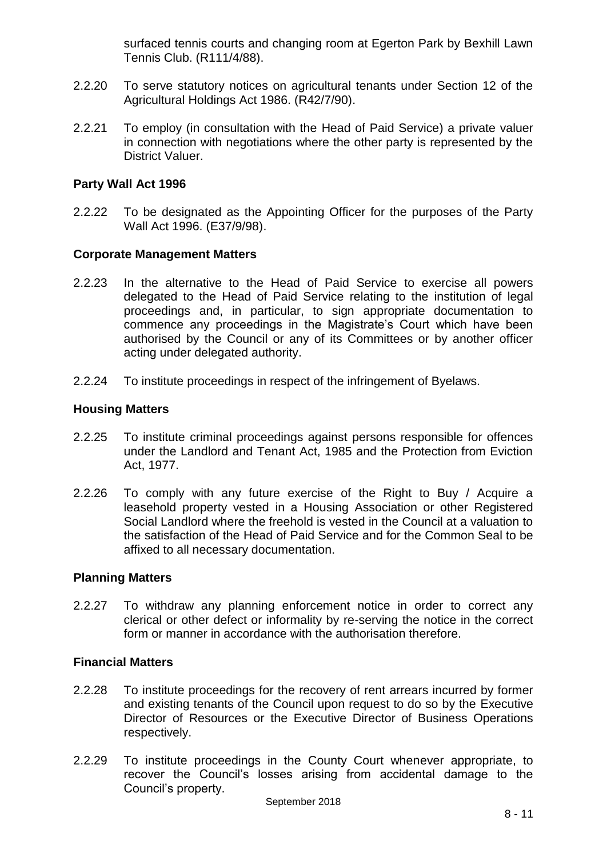surfaced tennis courts and changing room at Egerton Park by Bexhill Lawn Tennis Club. (R111/4/88).

- 2.2.20 To serve statutory notices on agricultural tenants under Section 12 of the Agricultural Holdings Act 1986. (R42/7/90).
- 2.2.21 To employ (in consultation with the Head of Paid Service) a private valuer in connection with negotiations where the other party is represented by the District Valuer.

#### **Party Wall Act 1996**

2.2.22 To be designated as the Appointing Officer for the purposes of the Party Wall Act 1996. (E37/9/98).

#### **Corporate Management Matters**

- 2.2.23 In the alternative to the Head of Paid Service to exercise all powers delegated to the Head of Paid Service relating to the institution of legal proceedings and, in particular, to sign appropriate documentation to commence any proceedings in the Magistrate's Court which have been authorised by the Council or any of its Committees or by another officer acting under delegated authority.
- 2.2.24 To institute proceedings in respect of the infringement of Byelaws.

#### **Housing Matters**

- 2.2.25 To institute criminal proceedings against persons responsible for offences under the Landlord and Tenant Act, 1985 and the Protection from Eviction Act, 1977.
- 2.2.26 To comply with any future exercise of the Right to Buy / Acquire a leasehold property vested in a Housing Association or other Registered Social Landlord where the freehold is vested in the Council at a valuation to the satisfaction of the Head of Paid Service and for the Common Seal to be affixed to all necessary documentation.

#### **Planning Matters**

2.2.27 To withdraw any planning enforcement notice in order to correct any clerical or other defect or informality by re-serving the notice in the correct form or manner in accordance with the authorisation therefore.

#### **Financial Matters**

- 2.2.28 To institute proceedings for the recovery of rent arrears incurred by former and existing tenants of the Council upon request to do so by the Executive Director of Resources or the Executive Director of Business Operations respectively.
- 2.2.29 To institute proceedings in the County Court whenever appropriate, to recover the Council's losses arising from accidental damage to the Council's property.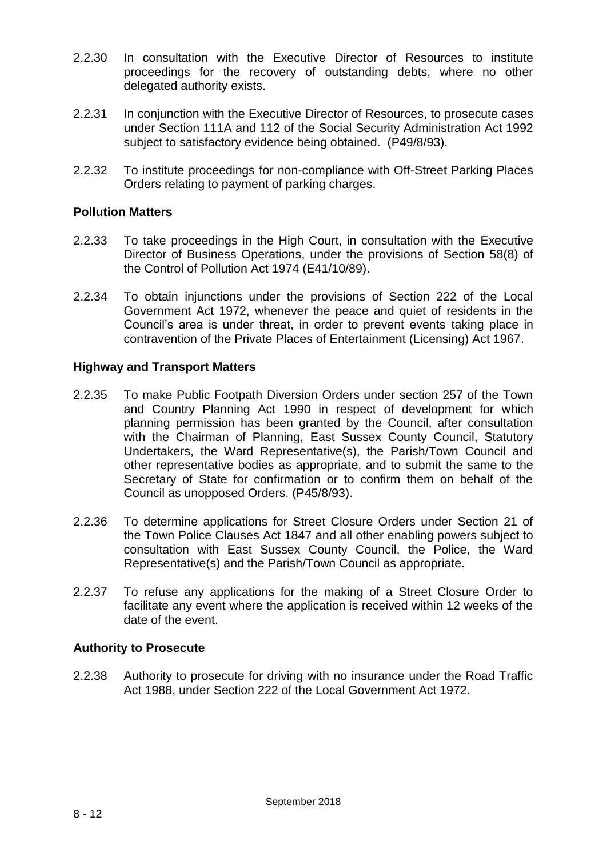- 2.2.30 In consultation with the Executive Director of Resources to institute proceedings for the recovery of outstanding debts, where no other delegated authority exists.
- 2.2.31 In conjunction with the Executive Director of Resources, to prosecute cases under Section 111A and 112 of the Social Security Administration Act 1992 subject to satisfactory evidence being obtained. (P49/8/93).
- 2.2.32 To institute proceedings for non-compliance with Off-Street Parking Places Orders relating to payment of parking charges.

#### **Pollution Matters**

- 2.2.33 To take proceedings in the High Court, in consultation with the Executive Director of Business Operations, under the provisions of Section 58(8) of the Control of Pollution Act 1974 (E41/10/89).
- 2.2.34 To obtain injunctions under the provisions of Section 222 of the Local Government Act 1972, whenever the peace and quiet of residents in the Council's area is under threat, in order to prevent events taking place in contravention of the Private Places of Entertainment (Licensing) Act 1967.

#### **Highway and Transport Matters**

- 2.2.35 To make Public Footpath Diversion Orders under section 257 of the Town and Country Planning Act 1990 in respect of development for which planning permission has been granted by the Council, after consultation with the Chairman of Planning, East Sussex County Council, Statutory Undertakers, the Ward Representative(s), the Parish/Town Council and other representative bodies as appropriate, and to submit the same to the Secretary of State for confirmation or to confirm them on behalf of the Council as unopposed Orders. (P45/8/93).
- 2.2.36 To determine applications for Street Closure Orders under Section 21 of the Town Police Clauses Act 1847 and all other enabling powers subject to consultation with East Sussex County Council, the Police, the Ward Representative(s) and the Parish/Town Council as appropriate.
- 2.2.37 To refuse any applications for the making of a Street Closure Order to facilitate any event where the application is received within 12 weeks of the date of the event.

#### **Authority to Prosecute**

2.2.38 Authority to prosecute for driving with no insurance under the Road Traffic Act 1988, under Section 222 of the Local Government Act 1972.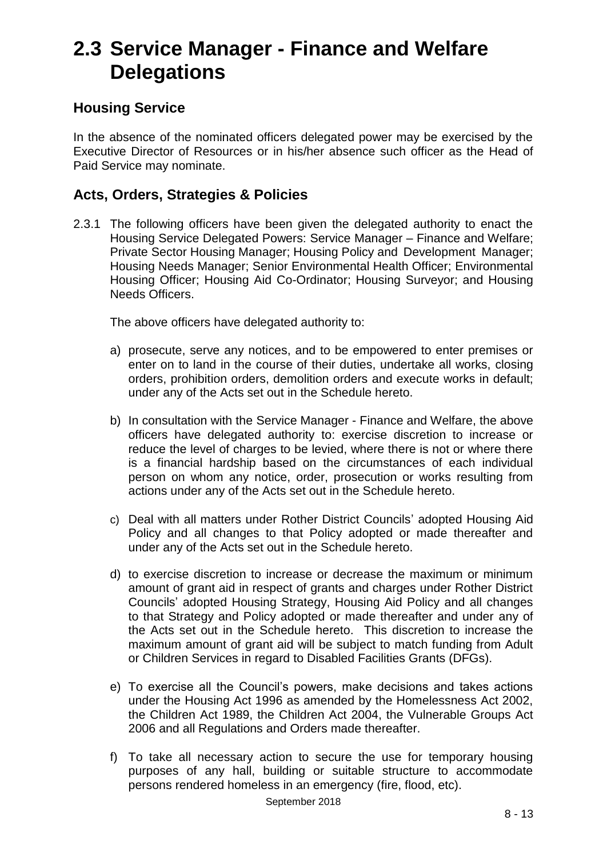## **2.3 Service Manager - Finance and Welfare Delegations**

## **Housing Service**

In the absence of the nominated officers delegated power may be exercised by the Executive Director of Resources or in his/her absence such officer as the Head of Paid Service may nominate.

## **Acts, Orders, Strategies & Policies**

2.3.1 The following officers have been given the delegated authority to enact the Housing Service Delegated Powers: Service Manager – Finance and Welfare; Private Sector Housing Manager; Housing Policy and Development Manager; Housing Needs Manager; Senior Environmental Health Officer; Environmental Housing Officer; Housing Aid Co-Ordinator; Housing Surveyor; and Housing Needs Officers.

The above officers have delegated authority to:

- a) prosecute, serve any notices, and to be empowered to enter premises or enter on to land in the course of their duties, undertake all works, closing orders, prohibition orders, demolition orders and execute works in default; under any of the Acts set out in the Schedule hereto.
- b) In consultation with the Service Manager Finance and Welfare, the above officers have delegated authority to: exercise discretion to increase or reduce the level of charges to be levied, where there is not or where there is a financial hardship based on the circumstances of each individual person on whom any notice, order, prosecution or works resulting from actions under any of the Acts set out in the Schedule hereto.
- c) Deal with all matters under Rother District Councils' adopted Housing Aid Policy and all changes to that Policy adopted or made thereafter and under any of the Acts set out in the Schedule hereto.
- d) to exercise discretion to increase or decrease the maximum or minimum amount of grant aid in respect of grants and charges under Rother District Councils' adopted Housing Strategy, Housing Aid Policy and all changes to that Strategy and Policy adopted or made thereafter and under any of the Acts set out in the Schedule hereto. This discretion to increase the maximum amount of grant aid will be subject to match funding from Adult or Children Services in regard to Disabled Facilities Grants (DFGs).
- e) To exercise all the Council's powers, make decisions and takes actions under the Housing Act 1996 as amended by the Homelessness Act 2002, the Children Act 1989, the Children Act 2004, the Vulnerable Groups Act 2006 and all Regulations and Orders made thereafter.
- f) To take all necessary action to secure the use for temporary housing purposes of any hall, building or suitable structure to accommodate persons rendered homeless in an emergency (fire, flood, etc).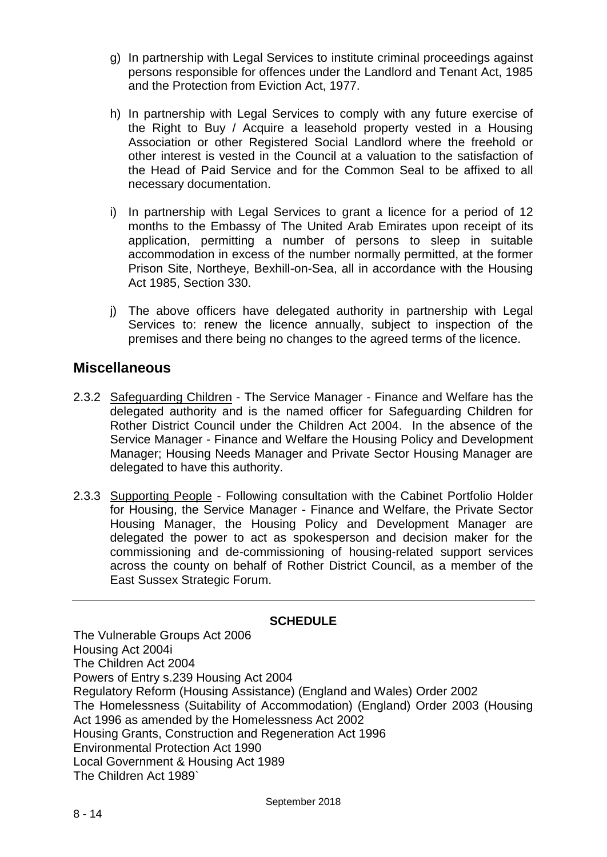- g) In partnership with Legal Services to institute criminal proceedings against persons responsible for offences under the Landlord and Tenant Act, 1985 and the Protection from Eviction Act, 1977.
- h) In partnership with Legal Services to comply with any future exercise of the Right to Buy / Acquire a leasehold property vested in a Housing Association or other Registered Social Landlord where the freehold or other interest is vested in the Council at a valuation to the satisfaction of the Head of Paid Service and for the Common Seal to be affixed to all necessary documentation.
- i) In partnership with Legal Services to grant a licence for a period of 12 months to the Embassy of The United Arab Emirates upon receipt of its application, permitting a number of persons to sleep in suitable accommodation in excess of the number normally permitted, at the former Prison Site, Northeye, Bexhill-on-Sea, all in accordance with the Housing Act 1985, Section 330.
- j) The above officers have delegated authority in partnership with Legal Services to: renew the licence annually, subject to inspection of the premises and there being no changes to the agreed terms of the licence.

#### **Miscellaneous**

- 2.3.2 Safeguarding Children The Service Manager Finance and Welfare has the delegated authority and is the named officer for Safeguarding Children for Rother District Council under the Children Act 2004. In the absence of the Service Manager - Finance and Welfare the Housing Policy and Development Manager; Housing Needs Manager and Private Sector Housing Manager are delegated to have this authority.
- 2.3.3 Supporting People Following consultation with the Cabinet Portfolio Holder for Housing, the Service Manager - Finance and Welfare, the Private Sector Housing Manager, the Housing Policy and Development Manager are delegated the power to act as spokesperson and decision maker for the commissioning and de-commissioning of housing-related support services across the county on behalf of Rother District Council, as a member of the East Sussex Strategic Forum.

#### **SCHEDULE**

The Vulnerable Groups Act 2006 Housing Act 2004i The Children Act 2004 Powers of Entry s.239 Housing Act 2004 Regulatory Reform (Housing Assistance) (England and Wales) Order 2002 The Homelessness (Suitability of Accommodation) (England) Order 2003 (Housing Act 1996 as amended by the Homelessness Act 2002 Housing Grants, Construction and Regeneration Act 1996 Environmental Protection Act 1990 Local Government & Housing Act 1989 The Children Act 1989`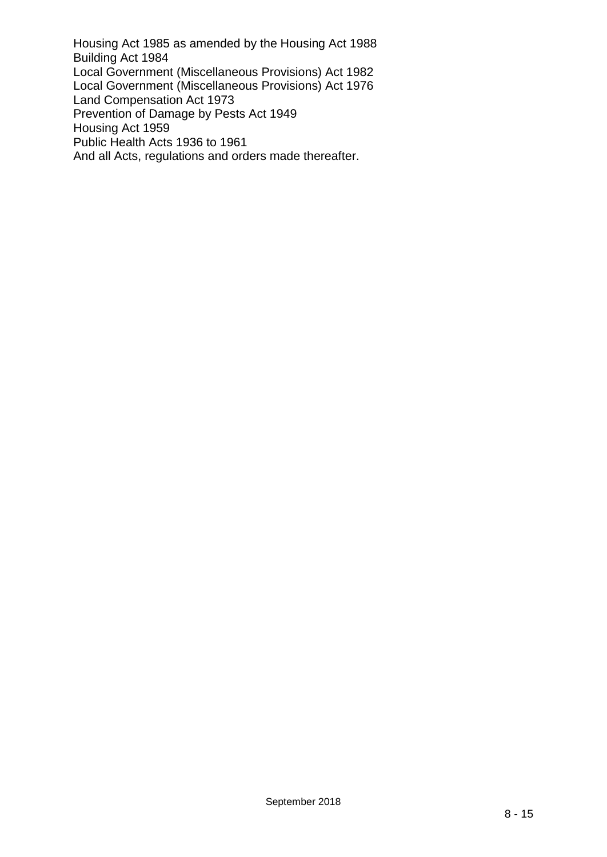Housing Act 1985 as amended by the Housing Act 1988 Building Act 1984 Local Government (Miscellaneous Provisions) Act 1982 Local Government (Miscellaneous Provisions) Act 1976 Land Compensation Act 1973 Prevention of Damage by Pests Act 1949 Housing Act 1959 Public Health Acts 1936 to 1961 And all Acts, regulations and orders made thereafter.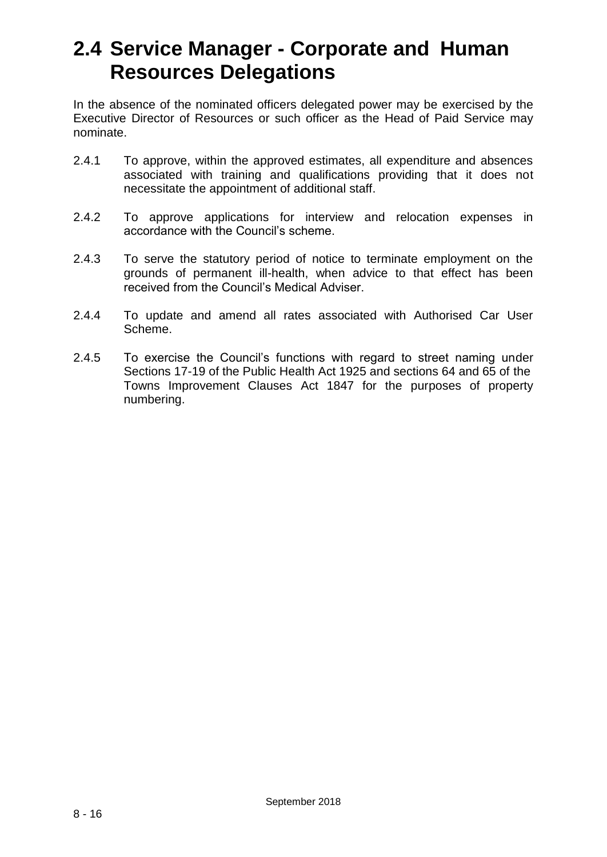## **2.4 Service Manager - Corporate and Human Resources Delegations**

In the absence of the nominated officers delegated power may be exercised by the Executive Director of Resources or such officer as the Head of Paid Service may nominate.

- 2.4.1 To approve, within the approved estimates, all expenditure and absences associated with training and qualifications providing that it does not necessitate the appointment of additional staff.
- 2.4.2 To approve applications for interview and relocation expenses in accordance with the Council's scheme.
- 2.4.3 To serve the statutory period of notice to terminate employment on the grounds of permanent ill-health, when advice to that effect has been received from the Council's Medical Adviser.
- 2.4.4 To update and amend all rates associated with Authorised Car User Scheme.
- 2.4.5 To exercise the Council's functions with regard to street naming under Sections 17-19 of the Public Health Act 1925 and sections 64 and 65 of the Towns Improvement Clauses Act 1847 for the purposes of property numbering.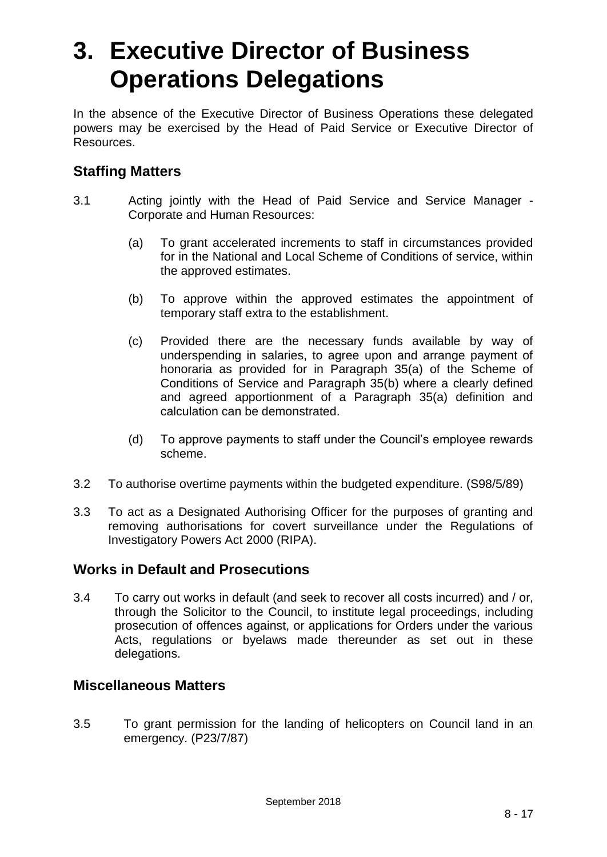# **3. Executive Director of Business Operations Delegations**

In the absence of the Executive Director of Business Operations these delegated powers may be exercised by the Head of Paid Service or Executive Director of Resources.

## **Staffing Matters**

- 3.1 Acting jointly with the Head of Paid Service and Service Manager Corporate and Human Resources:
	- (a) To grant accelerated increments to staff in circumstances provided for in the National and Local Scheme of Conditions of service, within the approved estimates.
	- (b) To approve within the approved estimates the appointment of temporary staff extra to the establishment.
	- (c) Provided there are the necessary funds available by way of underspending in salaries, to agree upon and arrange payment of honoraria as provided for in Paragraph 35(a) of the Scheme of Conditions of Service and Paragraph 35(b) where a clearly defined and agreed apportionment of a Paragraph 35(a) definition and calculation can be demonstrated.
	- (d) To approve payments to staff under the Council's employee rewards scheme.
- 3.2 To authorise overtime payments within the budgeted expenditure. (S98/5/89)
- 3.3 To act as a Designated Authorising Officer for the purposes of granting and removing authorisations for covert surveillance under the Regulations of Investigatory Powers Act 2000 (RIPA).

### **Works in Default and Prosecutions**

3.4 To carry out works in default (and seek to recover all costs incurred) and / or, through the Solicitor to the Council, to institute legal proceedings, including prosecution of offences against, or applications for Orders under the various Acts, regulations or byelaws made thereunder as set out in these delegations.

### **Miscellaneous Matters**

3.5 To grant permission for the landing of helicopters on Council land in an emergency. (P23/7/87)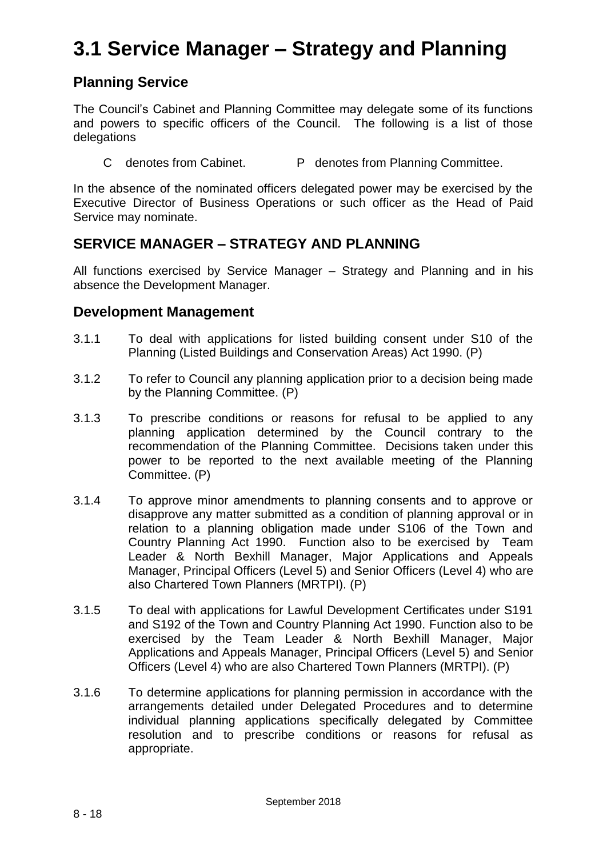## **3.1 Service Manager – Strategy and Planning**

## **Planning Service**

The Council's Cabinet and Planning Committee may delegate some of its functions and powers to specific officers of the Council. The following is a list of those delegations

C denotes from Cabinet. P denotes from Planning Committee.

In the absence of the nominated officers delegated power may be exercised by the Executive Director of Business Operations or such officer as the Head of Paid Service may nominate.

## **SERVICE MANAGER – STRATEGY AND PLANNING**

All functions exercised by Service Manager – Strategy and Planning and in his absence the Development Manager.

#### **Development Management**

- 3.1.1 To deal with applications for listed building consent under S10 of the Planning (Listed Buildings and Conservation Areas) Act 1990. (P)
- 3.1.2 To refer to Council any planning application prior to a decision being made by the Planning Committee. (P)
- 3.1.3 To prescribe conditions or reasons for refusal to be applied to any planning application determined by the Council contrary to the recommendation of the Planning Committee. Decisions taken under this power to be reported to the next available meeting of the Planning Committee. (P)
- 3.1.4 To approve minor amendments to planning consents and to approve or disapprove any matter submitted as a condition of planning approval or in relation to a planning obligation made under S106 of the Town and Country Planning Act 1990. Function also to be exercised by Team Leader & North Bexhill Manager, Major Applications and Appeals Manager, Principal Officers (Level 5) and Senior Officers (Level 4) who are also Chartered Town Planners (MRTPI). (P)
- 3.1.5 To deal with applications for Lawful Development Certificates under S191 and S192 of the Town and Country Planning Act 1990. Function also to be exercised by the Team Leader & North Bexhill Manager, Major Applications and Appeals Manager, Principal Officers (Level 5) and Senior Officers (Level 4) who are also Chartered Town Planners (MRTPI). (P)
- 3.1.6 To determine applications for planning permission in accordance with the arrangements detailed under Delegated Procedures and to determine individual planning applications specifically delegated by Committee resolution and to prescribe conditions or reasons for refusal as appropriate.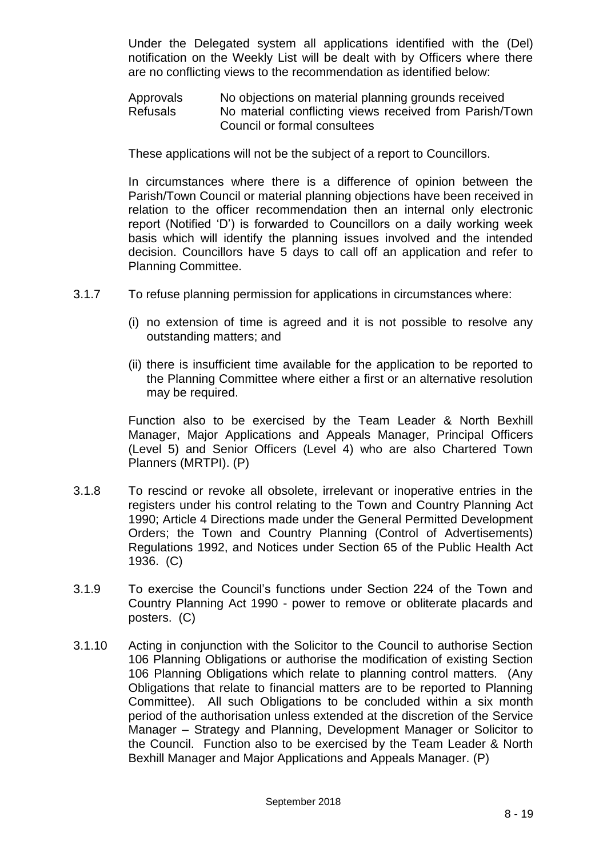Under the Delegated system all applications identified with the (Del) notification on the Weekly List will be dealt with by Officers where there are no conflicting views to the recommendation as identified below:

Approvals No objections on material planning grounds received Refusals Mo material conflicting views received from Parish/Town Council or formal consultees

These applications will not be the subject of a report to Councillors.

In circumstances where there is a difference of opinion between the Parish/Town Council or material planning objections have been received in relation to the officer recommendation then an internal only electronic report (Notified 'D') is forwarded to Councillors on a daily working week basis which will identify the planning issues involved and the intended decision. Councillors have 5 days to call off an application and refer to Planning Committee.

- 3.1.7 To refuse planning permission for applications in circumstances where:
	- (i) no extension of time is agreed and it is not possible to resolve any outstanding matters; and
	- (ii) there is insufficient time available for the application to be reported to the Planning Committee where either a first or an alternative resolution may be required.

Function also to be exercised by the Team Leader & North Bexhill Manager, Major Applications and Appeals Manager, Principal Officers (Level 5) and Senior Officers (Level 4) who are also Chartered Town Planners (MRTPI). (P)

- 3.1.8 To rescind or revoke all obsolete, irrelevant or inoperative entries in the registers under his control relating to the Town and Country Planning Act 1990; Article 4 Directions made under the General Permitted Development Orders; the Town and Country Planning (Control of Advertisements) Regulations 1992, and Notices under Section 65 of the Public Health Act 1936. (C)
- 3.1.9 To exercise the Council's functions under Section 224 of the Town and Country Planning Act 1990 - power to remove or obliterate placards and posters. (C)
- 3.1.10 Acting in conjunction with the Solicitor to the Council to authorise Section 106 Planning Obligations or authorise the modification of existing Section 106 Planning Obligations which relate to planning control matters. (Any Obligations that relate to financial matters are to be reported to Planning Committee). All such Obligations to be concluded within a six month period of the authorisation unless extended at the discretion of the Service Manager – Strategy and Planning, Development Manager or Solicitor to the Council. Function also to be exercised by the Team Leader & North Bexhill Manager and Major Applications and Appeals Manager. (P)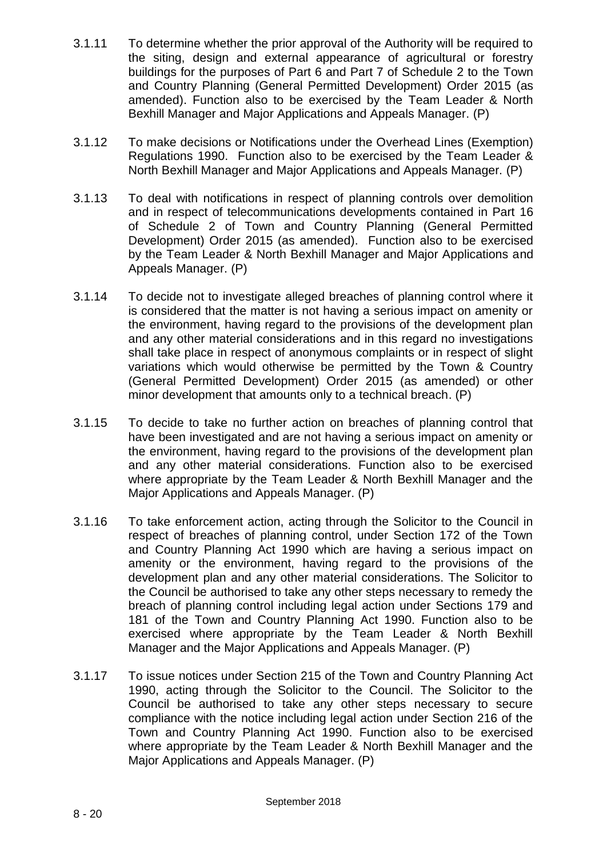- 3.1.11 To determine whether the prior approval of the Authority will be required to the siting, design and external appearance of agricultural or forestry buildings for the purposes of Part 6 and Part 7 of Schedule 2 to the Town and Country Planning (General Permitted Development) Order 2015 (as amended). Function also to be exercised by the Team Leader & North Bexhill Manager and Major Applications and Appeals Manager. (P)
- 3.1.12 To make decisions or Notifications under the Overhead Lines (Exemption) Regulations 1990. Function also to be exercised by the Team Leader & North Bexhill Manager and Major Applications and Appeals Manager. (P)
- 3.1.13 To deal with notifications in respect of planning controls over demolition and in respect of telecommunications developments contained in Part 16 of Schedule 2 of Town and Country Planning (General Permitted Development) Order 2015 (as amended). Function also to be exercised by the Team Leader & North Bexhill Manager and Major Applications and Appeals Manager. (P)
- 3.1.14 To decide not to investigate alleged breaches of planning control where it is considered that the matter is not having a serious impact on amenity or the environment, having regard to the provisions of the development plan and any other material considerations and in this regard no investigations shall take place in respect of anonymous complaints or in respect of slight variations which would otherwise be permitted by the Town & Country (General Permitted Development) Order 2015 (as amended) or other minor development that amounts only to a technical breach. (P)
- 3.1.15 To decide to take no further action on breaches of planning control that have been investigated and are not having a serious impact on amenity or the environment, having regard to the provisions of the development plan and any other material considerations. Function also to be exercised where appropriate by the Team Leader & North Bexhill Manager and the Major Applications and Appeals Manager. (P)
- 3.1.16 To take enforcement action, acting through the Solicitor to the Council in respect of breaches of planning control, under Section 172 of the Town and Country Planning Act 1990 which are having a serious impact on amenity or the environment, having regard to the provisions of the development plan and any other material considerations. The Solicitor to the Council be authorised to take any other steps necessary to remedy the breach of planning control including legal action under Sections 179 and 181 of the Town and Country Planning Act 1990. Function also to be exercised where appropriate by the Team Leader & North Bexhill Manager and the Major Applications and Appeals Manager. (P)
- 3.1.17 To issue notices under Section 215 of the Town and Country Planning Act 1990, acting through the Solicitor to the Council. The Solicitor to the Council be authorised to take any other steps necessary to secure compliance with the notice including legal action under Section 216 of the Town and Country Planning Act 1990. Function also to be exercised where appropriate by the Team Leader & North Bexhill Manager and the Major Applications and Appeals Manager. (P)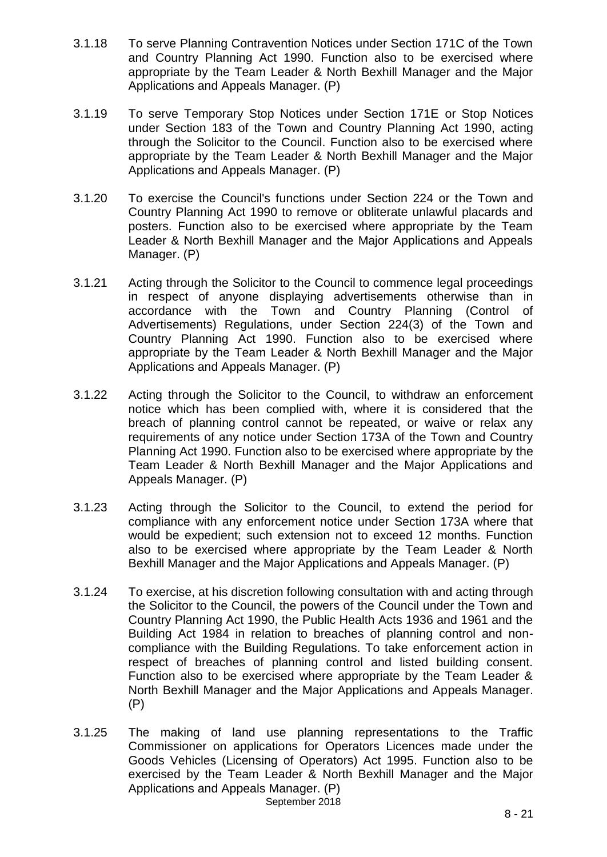- 3.1.18 To serve Planning Contravention Notices under Section 171C of the Town and Country Planning Act 1990. Function also to be exercised where appropriate by the Team Leader & North Bexhill Manager and the Major Applications and Appeals Manager. (P)
- 3.1.19 To serve Temporary Stop Notices under Section 171E or Stop Notices under Section 183 of the Town and Country Planning Act 1990, acting through the Solicitor to the Council. Function also to be exercised where appropriate by the Team Leader & North Bexhill Manager and the Major Applications and Appeals Manager. (P)
- 3.1.20 To exercise the Council's functions under Section 224 or the Town and Country Planning Act 1990 to remove or obliterate unlawful placards and posters. Function also to be exercised where appropriate by the Team Leader & North Bexhill Manager and the Major Applications and Appeals Manager. (P)
- 3.1.21 Acting through the Solicitor to the Council to commence legal proceedings in respect of anyone displaying advertisements otherwise than in accordance with the Town and Country Planning (Control of Advertisements) Regulations, under Section 224(3) of the Town and Country Planning Act 1990. Function also to be exercised where appropriate by the Team Leader & North Bexhill Manager and the Major Applications and Appeals Manager. (P)
- 3.1.22 Acting through the Solicitor to the Council, to withdraw an enforcement notice which has been complied with, where it is considered that the breach of planning control cannot be repeated, or waive or relax any requirements of any notice under Section 173A of the Town and Country Planning Act 1990. Function also to be exercised where appropriate by the Team Leader & North Bexhill Manager and the Major Applications and Appeals Manager. (P)
- 3.1.23 Acting through the Solicitor to the Council, to extend the period for compliance with any enforcement notice under Section 173A where that would be expedient; such extension not to exceed 12 months. Function also to be exercised where appropriate by the Team Leader & North Bexhill Manager and the Major Applications and Appeals Manager. (P)
- 3.1.24 To exercise, at his discretion following consultation with and acting through the Solicitor to the Council, the powers of the Council under the Town and Country Planning Act 1990, the Public Health Acts 1936 and 1961 and the Building Act 1984 in relation to breaches of planning control and noncompliance with the Building Regulations. To take enforcement action in respect of breaches of planning control and listed building consent. Function also to be exercised where appropriate by the Team Leader & North Bexhill Manager and the Major Applications and Appeals Manager. (P)
- September 2018 3.1.25 The making of land use planning representations to the Traffic Commissioner on applications for Operators Licences made under the Goods Vehicles (Licensing of Operators) Act 1995. Function also to be exercised by the Team Leader & North Bexhill Manager and the Major Applications and Appeals Manager. (P)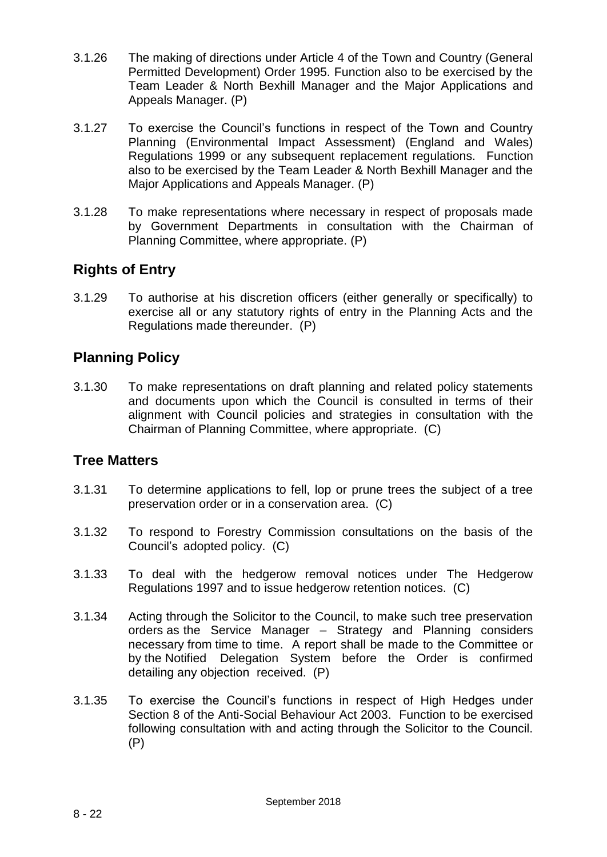- 3.1.26 The making of directions under Article 4 of the Town and Country (General Permitted Development) Order 1995. Function also to be exercised by the Team Leader & North Bexhill Manager and the Major Applications and Appeals Manager. (P)
- 3.1.27 To exercise the Council's functions in respect of the Town and Country Planning (Environmental Impact Assessment) (England and Wales) Regulations 1999 or any subsequent replacement regulations. Function also to be exercised by the Team Leader & North Bexhill Manager and the Major Applications and Appeals Manager. (P)
- 3.1.28 To make representations where necessary in respect of proposals made by Government Departments in consultation with the Chairman of Planning Committee, where appropriate. (P)

## **Rights of Entry**

3.1.29 To authorise at his discretion officers (either generally or specifically) to exercise all or any statutory rights of entry in the Planning Acts and the Regulations made thereunder. (P)

## **Planning Policy**

3.1.30 To make representations on draft planning and related policy statements and documents upon which the Council is consulted in terms of their alignment with Council policies and strategies in consultation with the Chairman of Planning Committee, where appropriate. (C)

### **Tree Matters**

- 3.1.31 To determine applications to fell, lop or prune trees the subject of a tree preservation order or in a conservation area. (C)
- 3.1.32 To respond to Forestry Commission consultations on the basis of the Council's adopted policy. (C)
- 3.1.33 To deal with the hedgerow removal notices under The Hedgerow Regulations 1997 and to issue hedgerow retention notices. (C)
- 3.1.34 Acting through the Solicitor to the Council, to make such tree preservation orders as the Service Manager – Strategy and Planning considers necessary from time to time. A report shall be made to the Committee or by the Notified Delegation System before the Order is confirmed detailing any objection received. (P)
- 3.1.35 To exercise the Council's functions in respect of High Hedges under Section 8 of the Anti-Social Behaviour Act 2003. Function to be exercised following consultation with and acting through the Solicitor to the Council. (P)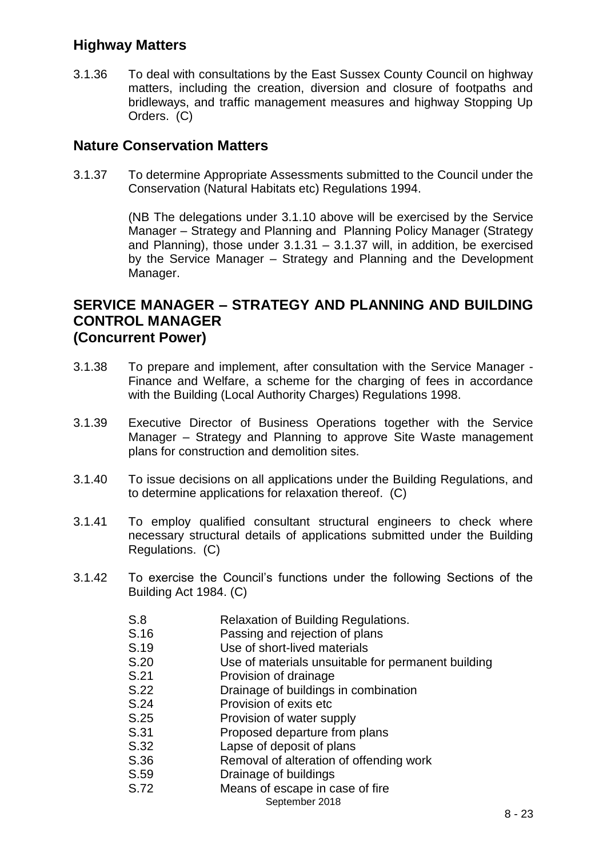## **Highway Matters**

3.1.36 To deal with consultations by the East Sussex County Council on highway matters, including the creation, diversion and closure of footpaths and bridleways, and traffic management measures and highway Stopping Up Orders. (C)

#### **Nature Conservation Matters**

3.1.37 To determine Appropriate Assessments submitted to the Council under the Conservation (Natural Habitats etc) Regulations 1994.

> (NB The delegations under 3.1.10 above will be exercised by the Service Manager – Strategy and Planning and Planning Policy Manager (Strategy and Planning), those under  $3.1.31 - 3.1.37$  will, in addition, be exercised by the Service Manager – Strategy and Planning and the Development Manager.

#### **SERVICE MANAGER – STRATEGY AND PLANNING AND BUILDING CONTROL MANAGER (Concurrent Power)**

- 3.1.38 To prepare and implement, after consultation with the Service Manager Finance and Welfare, a scheme for the charging of fees in accordance with the Building (Local Authority Charges) Regulations 1998.
- 3.1.39 Executive Director of Business Operations together with the Service Manager – Strategy and Planning to approve Site Waste management plans for construction and demolition sites.
- 3.1.40 To issue decisions on all applications under the Building Regulations, and to determine applications for relaxation thereof. (C)
- 3.1.41 To employ qualified consultant structural engineers to check where necessary structural details of applications submitted under the Building Regulations. (C)
- 3.1.42 To exercise the Council's functions under the following Sections of the Building Act 1984. (C)
	- S.8 Relaxation of Building Regulations.
	- S.16 Passing and rejection of plans
	- S.19 Use of short-lived materials
	- S.20 Use of materials unsuitable for permanent building
	- S.21 Provision of drainage
	- S.22 Drainage of buildings in combination
	- S.24 Provision of exits etc
	- S.25 Provision of water supply
	- S.31 Proposed departure from plans
	- S.32 Lapse of deposit of plans
	- S.36 Removal of alteration of offending work
	- S.59 Drainage of buildings
	- S.72 Means of escape in case of fire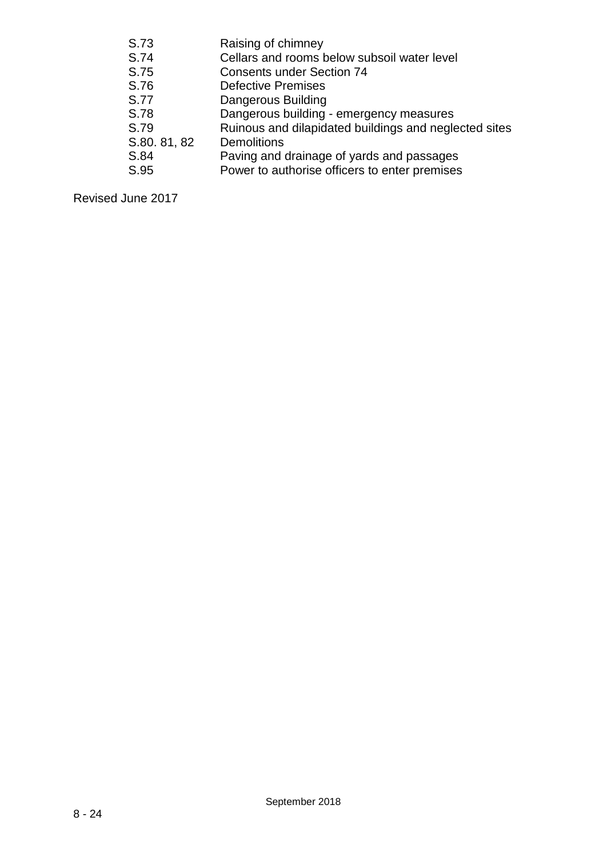| S.73         | Raising of chimney                                    |
|--------------|-------------------------------------------------------|
| S.74         | Cellars and rooms below subsoil water level           |
| S.75         | <b>Consents under Section 74</b>                      |
| S.76         | <b>Defective Premises</b>                             |
| S.77         | <b>Dangerous Building</b>                             |
| S.78         | Dangerous building - emergency measures               |
| S.79         | Ruinous and dilapidated buildings and neglected sites |
| S.80. 81, 82 | <b>Demolitions</b>                                    |
| S.84         | Paving and drainage of yards and passages             |
| S.95         | Power to authorise officers to enter premises         |
|              |                                                       |

Revised June 2017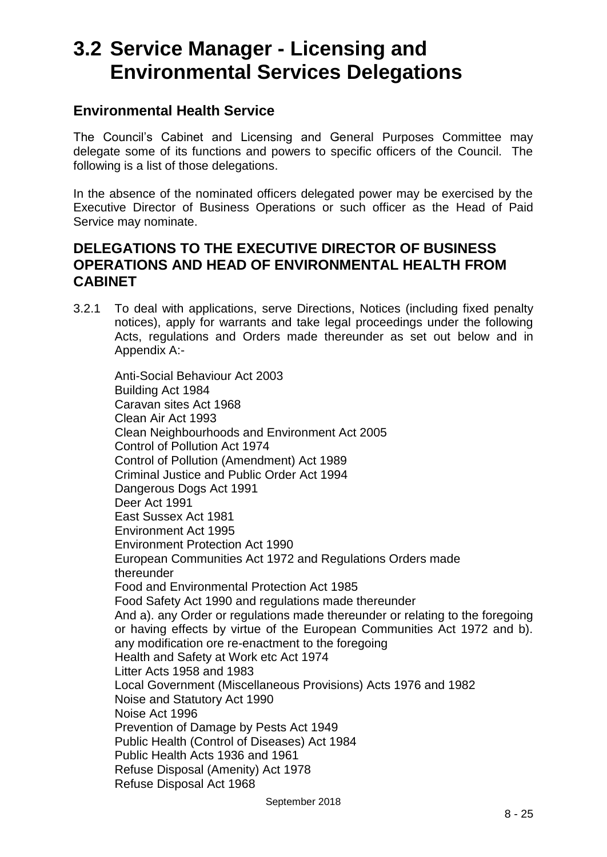## **3.2 Service Manager - Licensing and Environmental Services Delegations**

#### **Environmental Health Service**

The Council's Cabinet and Licensing and General Purposes Committee may delegate some of its functions and powers to specific officers of the Council. The following is a list of those delegations.

In the absence of the nominated officers delegated power may be exercised by the Executive Director of Business Operations or such officer as the Head of Paid Service may nominate.

### **DELEGATIONS TO THE EXECUTIVE DIRECTOR OF BUSINESS OPERATIONS AND HEAD OF ENVIRONMENTAL HEALTH FROM CABINET**

3.2.1 To deal with applications, serve Directions, Notices (including fixed penalty notices), apply for warrants and take legal proceedings under the following Acts, regulations and Orders made thereunder as set out below and in Appendix A:-

Anti-Social Behaviour Act 2003 Building Act 1984 Caravan sites Act 1968 Clean Air Act 1993 Clean Neighbourhoods and Environment Act 2005 Control of Pollution Act 1974 Control of Pollution (Amendment) Act 1989 Criminal Justice and Public Order Act 1994 Dangerous Dogs Act 1991 Deer Act 1991 East Sussex Act 1981 Environment Act 1995 Environment Protection Act 1990 European Communities Act 1972 and Regulations Orders made thereunder Food and Environmental Protection Act 1985 Food Safety Act 1990 and regulations made thereunder And a). any Order or regulations made thereunder or relating to the foregoing or having effects by virtue of the European Communities Act 1972 and b). any modification ore re-enactment to the foregoing Health and Safety at Work etc Act 1974 Litter Acts 1958 and 1983 Local Government (Miscellaneous Provisions) Acts 1976 and 1982 Noise and Statutory Act 1990 Noise Act 1996 Prevention of Damage by Pests Act 1949 Public Health (Control of Diseases) Act 1984 Public Health Acts 1936 and 1961 Refuse Disposal (Amenity) Act 1978 Refuse Disposal Act 1968

September 2018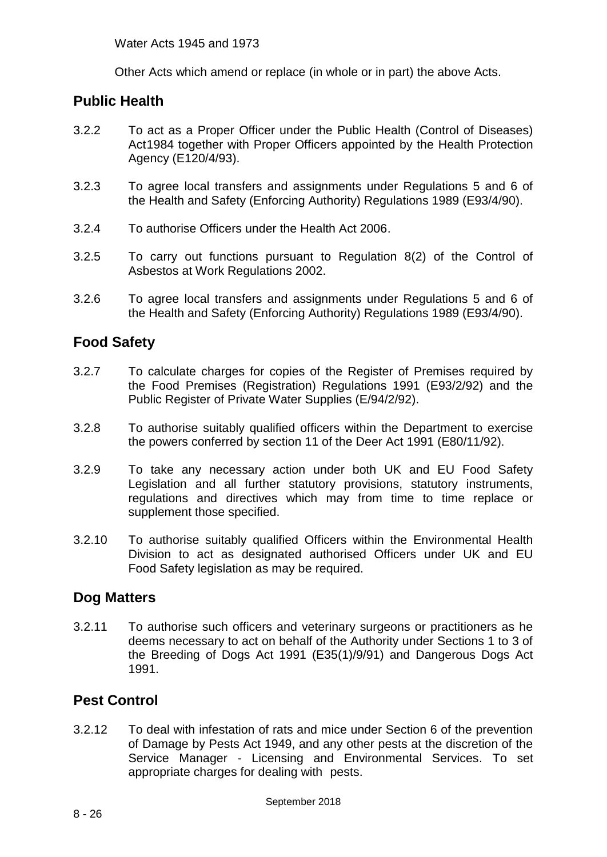Other Acts which amend or replace (in whole or in part) the above Acts.

## **Public Health**

- 3.2.2 To act as a Proper Officer under the Public Health (Control of Diseases) Act1984 together with Proper Officers appointed by the Health Protection Agency (E120/4/93).
- 3.2.3 To agree local transfers and assignments under Regulations 5 and 6 of the Health and Safety (Enforcing Authority) Regulations 1989 (E93/4/90).
- 3.2.4 To authorise Officers under the Health Act 2006.
- 3.2.5 To carry out functions pursuant to Regulation 8(2) of the Control of Asbestos at Work Regulations 2002.
- 3.2.6 To agree local transfers and assignments under Regulations 5 and 6 of the Health and Safety (Enforcing Authority) Regulations 1989 (E93/4/90).

## **Food Safety**

- 3.2.7 To calculate charges for copies of the Register of Premises required by the Food Premises (Registration) Regulations 1991 (E93/2/92) and the Public Register of Private Water Supplies (E/94/2/92).
- 3.2.8 To authorise suitably qualified officers within the Department to exercise the powers conferred by section 11 of the Deer Act 1991 (E80/11/92).
- 3.2.9 To take any necessary action under both UK and EU Food Safety Legislation and all further statutory provisions, statutory instruments, regulations and directives which may from time to time replace or supplement those specified.
- 3.2.10 To authorise suitably qualified Officers within the Environmental Health Division to act as designated authorised Officers under UK and EU Food Safety legislation as may be required.

### **Dog Matters**

3.2.11 To authorise such officers and veterinary surgeons or practitioners as he deems necessary to act on behalf of the Authority under Sections 1 to 3 of the Breeding of Dogs Act 1991 (E35(1)/9/91) and Dangerous Dogs Act 1991.

## **Pest Control**

3.2.12 To deal with infestation of rats and mice under Section 6 of the prevention of Damage by Pests Act 1949, and any other pests at the discretion of the Service Manager - Licensing and Environmental Services. To set appropriate charges for dealing with pests.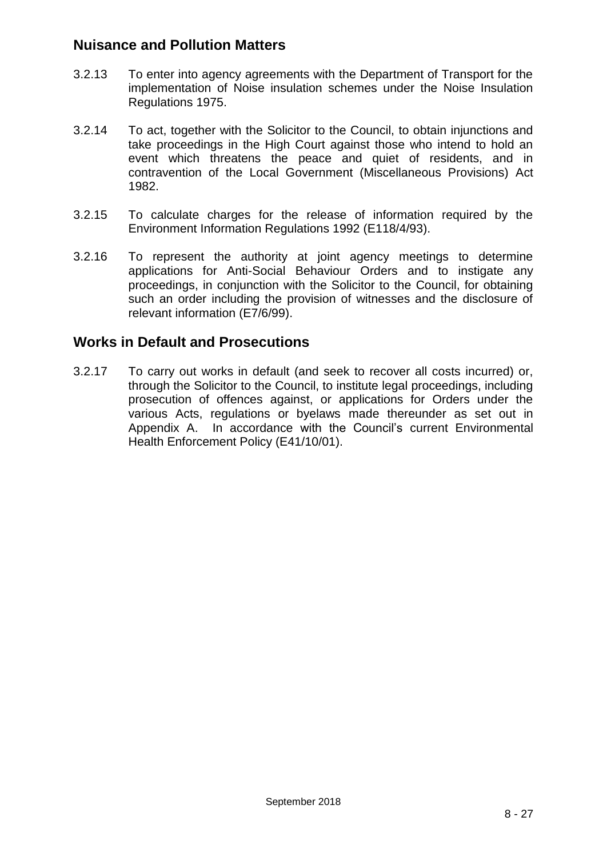## **Nuisance and Pollution Matters**

- 3.2.13 To enter into agency agreements with the Department of Transport for the implementation of Noise insulation schemes under the Noise Insulation Regulations 1975.
- 3.2.14 To act, together with the Solicitor to the Council, to obtain injunctions and take proceedings in the High Court against those who intend to hold an event which threatens the peace and quiet of residents, and in contravention of the Local Government (Miscellaneous Provisions) Act 1982.
- 3.2.15 To calculate charges for the release of information required by the Environment Information Regulations 1992 (E118/4/93).
- 3.2.16 To represent the authority at joint agency meetings to determine applications for Anti-Social Behaviour Orders and to instigate any proceedings, in conjunction with the Solicitor to the Council, for obtaining such an order including the provision of witnesses and the disclosure of relevant information (E7/6/99).

### **Works in Default and Prosecutions**

3.2.17 To carry out works in default (and seek to recover all costs incurred) or, through the Solicitor to the Council, to institute legal proceedings, including prosecution of offences against, or applications for Orders under the various Acts, regulations or byelaws made thereunder as set out in Appendix A. In accordance with the Council's current Environmental Health Enforcement Policy (E41/10/01).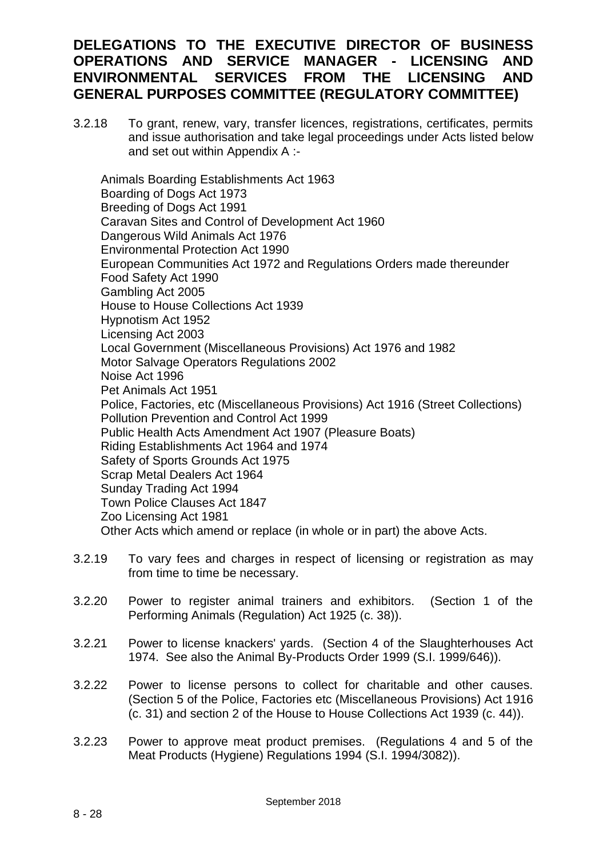## **DELEGATIONS TO THE EXECUTIVE DIRECTOR OF BUSINESS OPERATIONS AND SERVICE MANAGER - LICENSING AND ENVIRONMENTAL SERVICES FROM THE LICENSING AND GENERAL PURPOSES COMMITTEE (REGULATORY COMMITTEE)**

3.2.18 To grant, renew, vary, transfer licences, registrations, certificates, permits and issue authorisation and take legal proceedings under Acts listed below and set out within Appendix A :-

Animals Boarding Establishments Act 1963 Boarding of Dogs Act 1973 Breeding of Dogs Act 1991 Caravan Sites and Control of Development Act 1960 Dangerous Wild Animals Act 1976 Environmental Protection Act 1990 European Communities Act 1972 and Regulations Orders made thereunder Food Safety Act 1990 Gambling Act 2005 House to House Collections Act 1939 Hypnotism Act 1952 Licensing Act 2003 Local Government (Miscellaneous Provisions) Act 1976 and 1982 Motor Salvage Operators Regulations 2002 Noise Act 1996 Pet Animals Act 1951 Police, Factories, etc (Miscellaneous Provisions) Act 1916 (Street Collections) Pollution Prevention and Control Act 1999 Public Health Acts Amendment Act 1907 (Pleasure Boats) Riding Establishments Act 1964 and 1974 Safety of Sports Grounds Act 1975 Scrap Metal Dealers Act 1964 Sunday Trading Act 1994 Town Police Clauses Act 1847 Zoo Licensing Act 1981 Other Acts which amend or replace (in whole or in part) the above Acts.

- 3.2.19 To vary fees and charges in respect of licensing or registration as may from time to time be necessary.
- 3.2.20 Power to register animal trainers and exhibitors. (Section 1 of the Performing Animals (Regulation) Act 1925 (c. 38)).
- 3.2.21 Power to license knackers' yards. (Section 4 of the Slaughterhouses Act 1974. See also the Animal By-Products Order 1999 (S.I. 1999/646)).
- 3.2.22 Power to license persons to collect for charitable and other causes. (Section 5 of the Police, Factories etc (Miscellaneous Provisions) Act 1916 (c. 31) and section 2 of the House to House Collections Act 1939 (c. 44)).
- 3.2.23 Power to approve meat product premises. (Regulations 4 and 5 of the Meat Products (Hygiene) Regulations 1994 (S.I. 1994/3082)).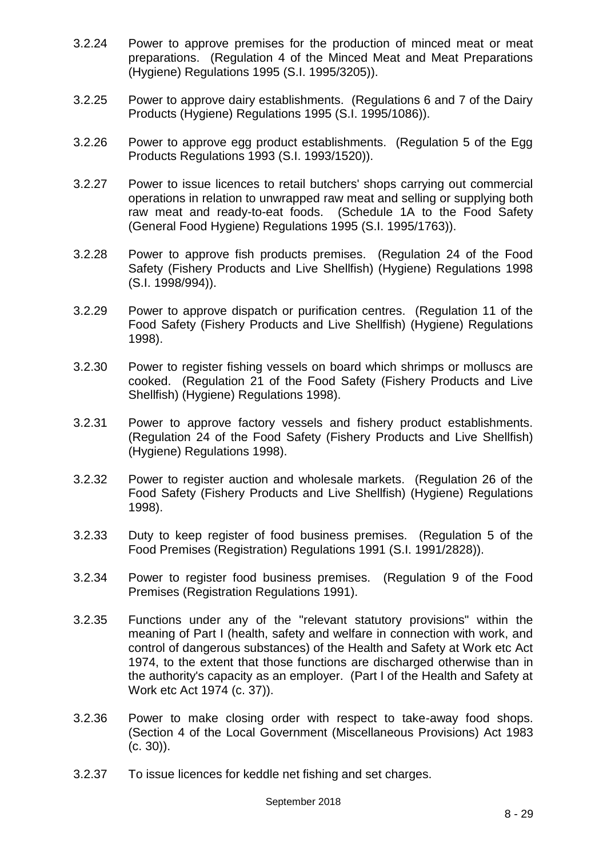- 3.2.24 Power to approve premises for the production of minced meat or meat preparations. (Regulation 4 of the Minced Meat and Meat Preparations (Hygiene) Regulations 1995 (S.I. 1995/3205)).
- 3.2.25 Power to approve dairy establishments. (Regulations 6 and 7 of the Dairy Products (Hygiene) Regulations 1995 (S.I. 1995/1086)).
- 3.2.26 Power to approve egg product establishments. (Regulation 5 of the Egg Products Regulations 1993 (S.I. 1993/1520)).
- 3.2.27 Power to issue licences to retail butchers' shops carrying out commercial operations in relation to unwrapped raw meat and selling or supplying both raw meat and ready-to-eat foods. (Schedule 1A to the Food Safety (General Food Hygiene) Regulations 1995 (S.I. 1995/1763)).
- 3.2.28 Power to approve fish products premises. (Regulation 24 of the Food Safety (Fishery Products and Live Shellfish) (Hygiene) Regulations 1998 (S.I. 1998/994)).
- 3.2.29 Power to approve dispatch or purification centres. (Regulation 11 of the Food Safety (Fishery Products and Live Shellfish) (Hygiene) Regulations 1998).
- 3.2.30 Power to register fishing vessels on board which shrimps or molluscs are cooked. (Regulation 21 of the Food Safety (Fishery Products and Live Shellfish) (Hygiene) Regulations 1998).
- 3.2.31 Power to approve factory vessels and fishery product establishments. (Regulation 24 of the Food Safety (Fishery Products and Live Shellfish) (Hygiene) Regulations 1998).
- 3.2.32 Power to register auction and wholesale markets. (Regulation 26 of the Food Safety (Fishery Products and Live Shellfish) (Hygiene) Regulations 1998).
- 3.2.33 Duty to keep register of food business premises. (Regulation 5 of the Food Premises (Registration) Regulations 1991 (S.I. 1991/2828)).
- 3.2.34 Power to register food business premises. (Regulation 9 of the Food Premises (Registration Regulations 1991).
- 3.2.35 Functions under any of the "relevant statutory provisions" within the meaning of Part I (health, safety and welfare in connection with work, and control of dangerous substances) of the Health and Safety at Work etc Act 1974, to the extent that those functions are discharged otherwise than in the authority's capacity as an employer. (Part I of the Health and Safety at Work etc Act 1974 (c. 37)).
- 3.2.36 Power to make closing order with respect to take-away food shops. (Section 4 of the Local Government (Miscellaneous Provisions) Act 1983 (c. 30)).
- 3.2.37 To issue licences for keddle net fishing and set charges.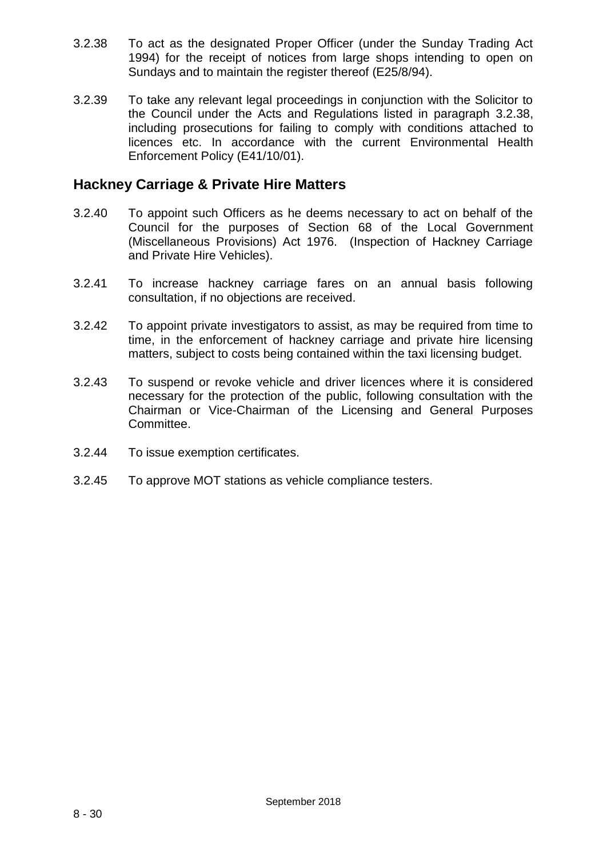- 3.2.38 To act as the designated Proper Officer (under the Sunday Trading Act 1994) for the receipt of notices from large shops intending to open on Sundays and to maintain the register thereof (E25/8/94).
- 3.2.39 To take any relevant legal proceedings in conjunction with the Solicitor to the Council under the Acts and Regulations listed in paragraph 3.2.38, including prosecutions for failing to comply with conditions attached to licences etc. In accordance with the current Environmental Health Enforcement Policy (E41/10/01).

### **Hackney Carriage & Private Hire Matters**

- 3.2.40 To appoint such Officers as he deems necessary to act on behalf of the Council for the purposes of Section 68 of the Local Government (Miscellaneous Provisions) Act 1976. (Inspection of Hackney Carriage and Private Hire Vehicles).
- 3.2.41 To increase hackney carriage fares on an annual basis following consultation, if no objections are received.
- 3.2.42 To appoint private investigators to assist, as may be required from time to time, in the enforcement of hackney carriage and private hire licensing matters, subject to costs being contained within the taxi licensing budget.
- 3.2.43 To suspend or revoke vehicle and driver licences where it is considered necessary for the protection of the public, following consultation with the Chairman or Vice-Chairman of the Licensing and General Purposes Committee.
- 3.2.44 To issue exemption certificates.
- 3.2.45 To approve MOT stations as vehicle compliance testers.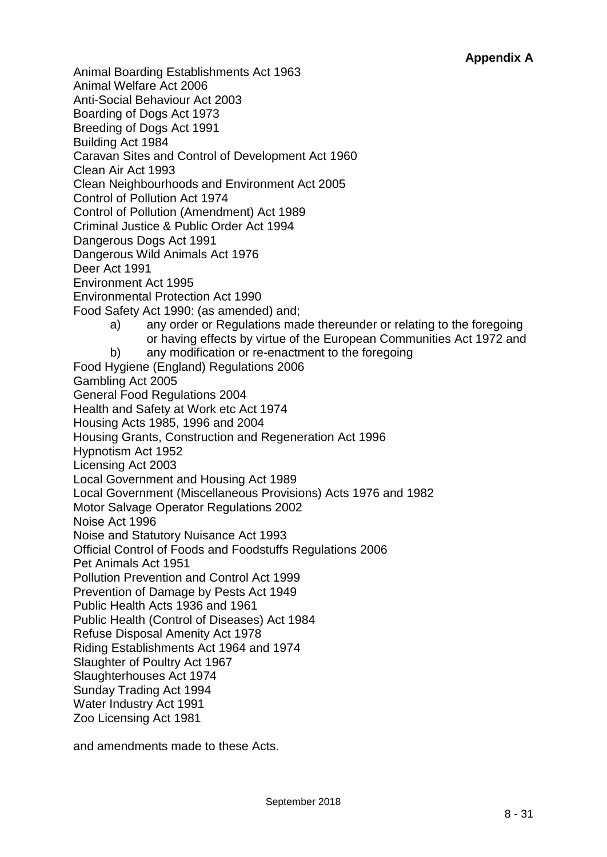Animal Boarding Establishments Act 1963 Animal Welfare Act 2006 Anti-Social Behaviour Act 2003 Boarding of Dogs Act 1973 Breeding of Dogs Act 1991 Building Act 1984 Caravan Sites and Control of Development Act 1960 Clean Air Act 1993 Clean Neighbourhoods and Environment Act 2005 Control of Pollution Act 1974 Control of Pollution (Amendment) Act 1989 Criminal Justice & Public Order Act 1994 Dangerous Dogs Act 1991 Dangerous Wild Animals Act 1976 Deer Act 1991 Environment Act 1995 Environmental Protection Act 1990 Food Safety Act 1990: (as amended) and; a) any order or Regulations made thereunder or relating to the foregoing or having effects by virtue of the European Communities Act 1972 and b) any modification or re-enactment to the foregoing Food Hygiene (England) Regulations 2006 Gambling Act 2005 General Food Regulations 2004 Health and Safety at Work etc Act 1974 Housing Acts 1985, 1996 and 2004 Housing Grants, Construction and Regeneration Act 1996 Hypnotism Act 1952 Licensing Act 2003 Local Government and Housing Act 1989 Local Government (Miscellaneous Provisions) Acts 1976 and 1982 Motor Salvage Operator Regulations 2002 Noise Act 1996 Noise and Statutory Nuisance Act 1993 Official Control of Foods and Foodstuffs Regulations 2006 Pet Animals Act 1951 Pollution Prevention and Control Act 1999 Prevention of Damage by Pests Act 1949 Public Health Acts 1936 and 1961 Public Health (Control of Diseases) Act 1984 Refuse Disposal Amenity Act 1978 Riding Establishments Act 1964 and 1974 Slaughter of Poultry Act 1967 Slaughterhouses Act 1974 Sunday Trading Act 1994 Water Industry Act 1991 Zoo Licensing Act 1981

and amendments made to these Acts.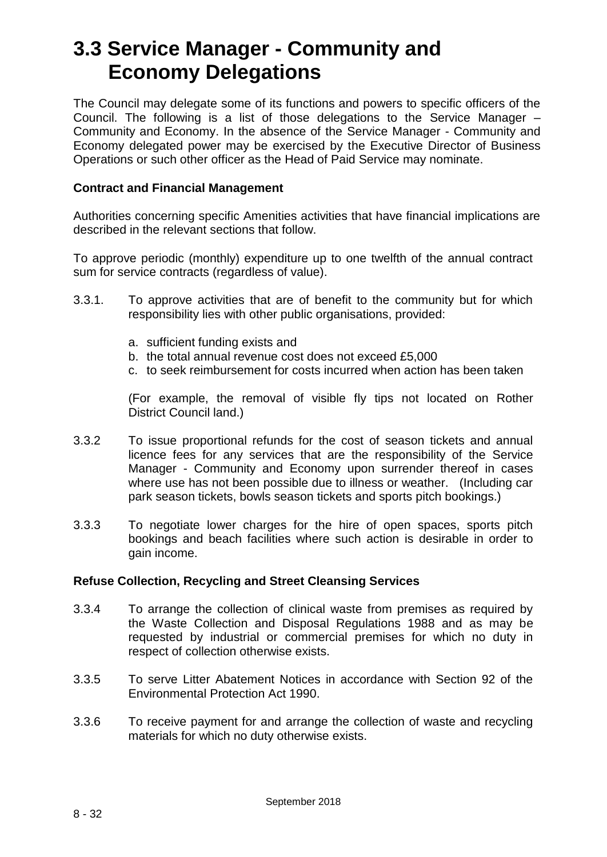## **3.3 Service Manager - Community and Economy Delegations**

The Council may delegate some of its functions and powers to specific officers of the Council. The following is a list of those delegations to the Service Manager – Community and Economy. In the absence of the Service Manager - Community and Economy delegated power may be exercised by the Executive Director of Business Operations or such other officer as the Head of Paid Service may nominate.

#### **Contract and Financial Management**

Authorities concerning specific Amenities activities that have financial implications are described in the relevant sections that follow.

To approve periodic (monthly) expenditure up to one twelfth of the annual contract sum for service contracts (regardless of value).

- 3.3.1. To approve activities that are of benefit to the community but for which responsibility lies with other public organisations, provided:
	- a. sufficient funding exists and
	- b. the total annual revenue cost does not exceed £5,000
	- c. to seek reimbursement for costs incurred when action has been taken

(For example, the removal of visible fly tips not located on Rother District Council land.)

- 3.3.2 To issue proportional refunds for the cost of season tickets and annual licence fees for any services that are the responsibility of the Service Manager - Community and Economy upon surrender thereof in cases where use has not been possible due to illness or weather. (Including car park season tickets, bowls season tickets and sports pitch bookings.)
- 3.3.3 To negotiate lower charges for the hire of open spaces, sports pitch bookings and beach facilities where such action is desirable in order to gain income.

#### **Refuse Collection, Recycling and Street Cleansing Services**

- 3.3.4 To arrange the collection of clinical waste from premises as required by the Waste Collection and Disposal Regulations 1988 and as may be requested by industrial or commercial premises for which no duty in respect of collection otherwise exists.
- 3.3.5 To serve Litter Abatement Notices in accordance with Section 92 of the Environmental Protection Act 1990.
- 3.3.6 To receive payment for and arrange the collection of waste and recycling materials for which no duty otherwise exists.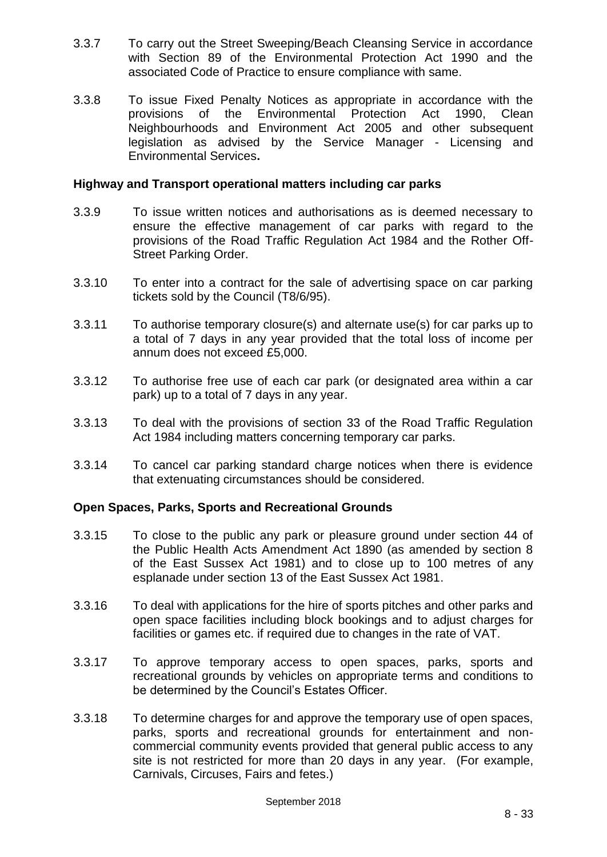- 3.3.7 To carry out the Street Sweeping/Beach Cleansing Service in accordance with Section 89 of the Environmental Protection Act 1990 and the associated Code of Practice to ensure compliance with same.
- 3.3.8 To issue Fixed Penalty Notices as appropriate in accordance with the provisions of the Environmental Protection Act 1990, Clean Neighbourhoods and Environment Act 2005 and other subsequent legislation as advised by the Service Manager - Licensing and Environmental Services**.**

#### **Highway and Transport operational matters including car parks**

- 3.3.9 To issue written notices and authorisations as is deemed necessary to ensure the effective management of car parks with regard to the provisions of the Road Traffic Regulation Act 1984 and the Rother Off-Street Parking Order.
- 3.3.10 To enter into a contract for the sale of advertising space on car parking tickets sold by the Council (T8/6/95).
- 3.3.11 To authorise temporary closure(s) and alternate use(s) for car parks up to a total of 7 days in any year provided that the total loss of income per annum does not exceed £5,000.
- 3.3.12 To authorise free use of each car park (or designated area within a car park) up to a total of 7 days in any year.
- 3.3.13 To deal with the provisions of section 33 of the Road Traffic Regulation Act 1984 including matters concerning temporary car parks.
- 3.3.14 To cancel car parking standard charge notices when there is evidence that extenuating circumstances should be considered.

#### **Open Spaces, Parks, Sports and Recreational Grounds**

- 3.3.15 To close to the public any park or pleasure ground under section 44 of the Public Health Acts Amendment Act 1890 (as amended by section 8 of the East Sussex Act 1981) and to close up to 100 metres of any esplanade under section 13 of the East Sussex Act 1981.
- 3.3.16 To deal with applications for the hire of sports pitches and other parks and open space facilities including block bookings and to adjust charges for facilities or games etc. if required due to changes in the rate of VAT.
- 3.3.17 To approve temporary access to open spaces, parks, sports and recreational grounds by vehicles on appropriate terms and conditions to be determined by the Council's Estates Officer.
- 3.3.18 To determine charges for and approve the temporary use of open spaces, parks, sports and recreational grounds for entertainment and noncommercial community events provided that general public access to any site is not restricted for more than 20 days in any year. (For example, Carnivals, Circuses, Fairs and fetes.)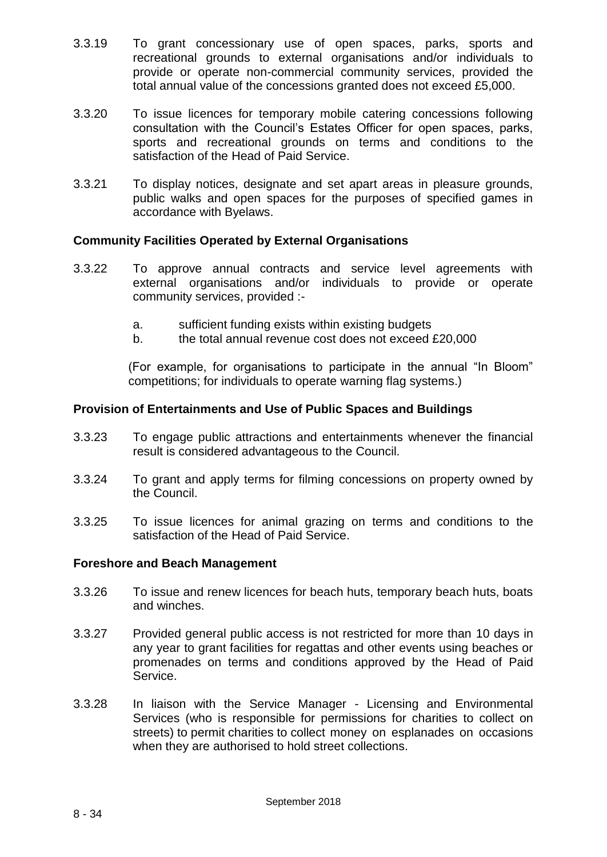- 3.3.19 To grant concessionary use of open spaces, parks, sports and recreational grounds to external organisations and/or individuals to provide or operate non-commercial community services, provided the total annual value of the concessions granted does not exceed £5,000.
- 3.3.20 To issue licences for temporary mobile catering concessions following consultation with the Council's Estates Officer for open spaces, parks, sports and recreational grounds on terms and conditions to the satisfaction of the Head of Paid Service.
- 3.3.21 To display notices, designate and set apart areas in pleasure grounds, public walks and open spaces for the purposes of specified games in accordance with Byelaws.

#### **Community Facilities Operated by External Organisations**

- 3.3.22 To approve annual contracts and service level agreements with external organisations and/or individuals to provide or operate community services, provided :
	- a. sufficient funding exists within existing budgets
	- b. the total annual revenue cost does not exceed £20,000

(For example, for organisations to participate in the annual "In Bloom" competitions; for individuals to operate warning flag systems.)

#### **Provision of Entertainments and Use of Public Spaces and Buildings**

- 3.3.23 To engage public attractions and entertainments whenever the financial result is considered advantageous to the Council.
- 3.3.24 To grant and apply terms for filming concessions on property owned by the Council.
- 3.3.25 To issue licences for animal grazing on terms and conditions to the satisfaction of the Head of Paid Service.

#### **Foreshore and Beach Management**

- 3.3.26 To issue and renew licences for beach huts, temporary beach huts, boats and winches.
- 3.3.27 Provided general public access is not restricted for more than 10 days in any year to grant facilities for regattas and other events using beaches or promenades on terms and conditions approved by the Head of Paid Service.
- 3.3.28 In liaison with the Service Manager Licensing and Environmental Services (who is responsible for permissions for charities to collect on streets) to permit charities to collect money on esplanades on occasions when they are authorised to hold street collections.